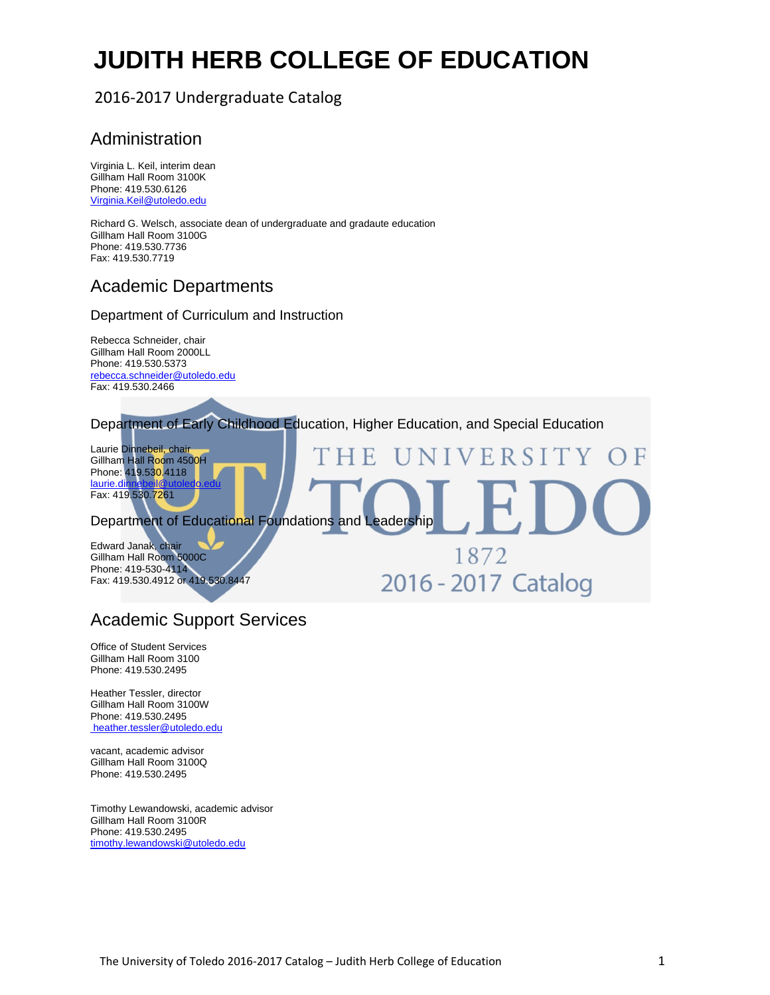# **JUDITH HERB COLLEGE OF EDUCATION**

## 2016‐2017 Undergraduate Catalog

## Administration

Virginia L. Keil, interim dean Gillham Hall Room 3100K Phone: 419.530.6126 Virginia.Keil@utoledo.edu

Richard G. Welsch, associate dean of undergraduate and gradaute education Gillham Hall Room 3100G Phone: 419.530.7736 Fax: 419.530.7719

## Academic Departments

### Department of Curriculum and Instruction

Rebecca Schneider, chair Gillham Hall Room 2000LL Phone: 419.530.5373 rebecca.schneider@utoledo.edu Fax: 419.530.2466

Department of Early Childhood Education, Higher Education, and Special Education

Laurie Dinnebeil, chair ERSITY Gillham Hall Room 4500H Phone: 419.530.4118 laurie.dinnebeil@utoledo.edu Fax: 419.530.7261 Department of Educational Foundations and Leadership Edward Janak, chair 1872 Gillham Hall Room 5000C Phone: 419-530-4114 2016 - 2017 Catalog Fax: 419.530.4912 or 419.530.8447

## Academic Support Services

Office of Student Services Gillham Hall Room 3100 Phone: 419.530.2495

Heather Tessler, director Gillham Hall Room 3100W Phone: 419.530.2495 heather.tessler@utoledo.edu

vacant, academic advisor Gillham Hall Room 3100Q Phone: 419.530.2495

Timothy Lewandowski, academic advisor Gillham Hall Room 3100R Phone: 419.530.2495 timothy.lewandowski@utoledo.edu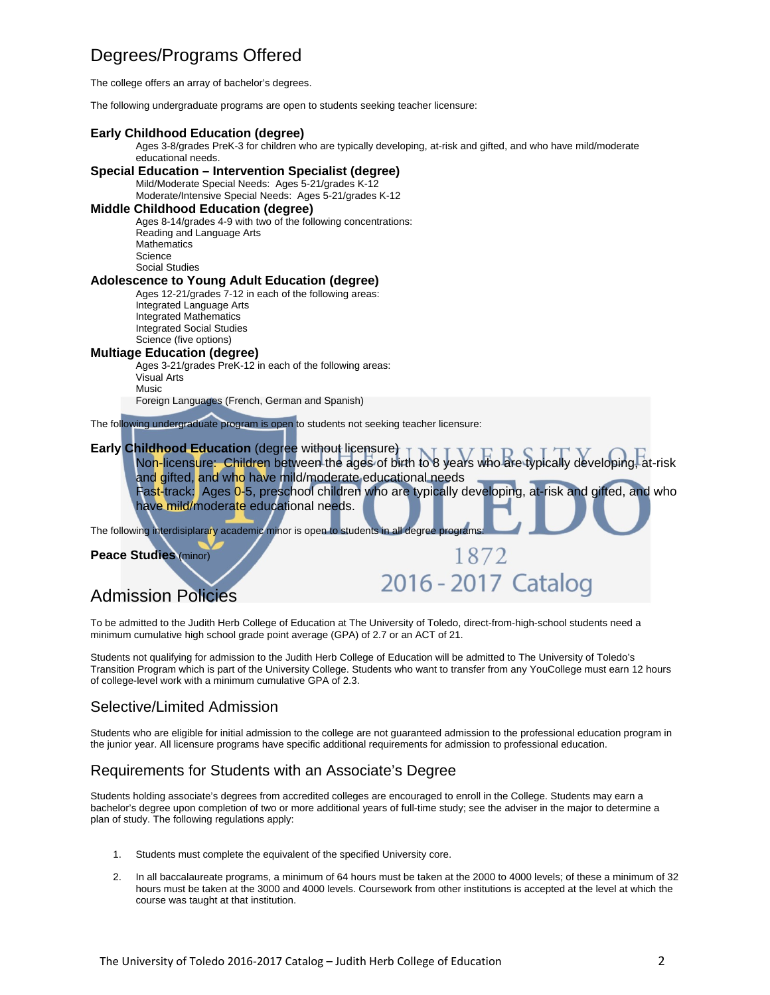## Degrees/Programs Offered

The college offers an array of bachelor's degrees.

The following undergraduate programs are open to students seeking teacher licensure:

#### **Early Childhood Education (degree)**

Ages 3-8/grades PreK-3 for children who are typically developing, at-risk and gifted, and who have mild/moderate educational needs.

#### **Special Education – Intervention Specialist (degree)**

Mild/Moderate Special Needs: Ages 5-21/grades K-12

Moderate/Intensive Special Needs: Ages 5-21/grades K-12

#### **Middle Childhood Education (degree)**

Ages 8-14/grades 4-9 with two of the following concentrations: Reading and Language Arts **Mathematics Science** Social Studies

#### **Adolescence to Young Adult Education (degree)**

Ages 12-21/grades 7-12 in each of the following areas: Integrated Language Arts Integrated Mathematics Integrated Social Studies Science (five options)

#### **Multiage Education (degree)**

Ages 3-21/grades PreK-12 in each of the following areas: Visual Arts Music

Foreign Languages (French, German and Spanish)

The following undergraduate program is open to students not seeking teacher licensure:

#### **Early Childhood Education** (degree without licensure)

Non-licensure: Children between the ages of birth to 8 years who are typically developing, at-risk and gifted, and who have mild/moderate educational needs Fast-track: Ages 0-5, preschool children who are typically developing, at-risk and gifted, and who have mild/moderate educational needs.

1872

2016 - 2017 Catalog

The following interdisiplarary academic minor is open to students in all degree programs:

**Peace Studies** (minor)

## Admission Policies

To be admitted to the Judith Herb College of Education at The University of Toledo, direct-from-high-school students need a minimum cumulative high school grade point average (GPA) of 2.7 or an ACT of 21.

Students not qualifying for admission to the Judith Herb College of Education will be admitted to The University of Toledo's Transition Program which is part of the University College. Students who want to transfer from any YouCollege must earn 12 hours of college-level work with a minimum cumulative GPA of 2.3.

#### Selective/Limited Admission

Students who are eligible for initial admission to the college are not guaranteed admission to the professional education program in the junior year. All licensure programs have specific additional requirements for admission to professional education.

### Requirements for Students with an Associate's Degree

Students holding associate's degrees from accredited colleges are encouraged to enroll in the College. Students may earn a bachelor's degree upon completion of two or more additional years of full-time study; see the adviser in the major to determine a plan of study. The following regulations apply:

- 1. Students must complete the equivalent of the specified University core.
- 2. In all baccalaureate programs, a minimum of 64 hours must be taken at the 2000 to 4000 levels; of these a minimum of 32 hours must be taken at the 3000 and 4000 levels. Coursework from other institutions is accepted at the level at which the course was taught at that institution.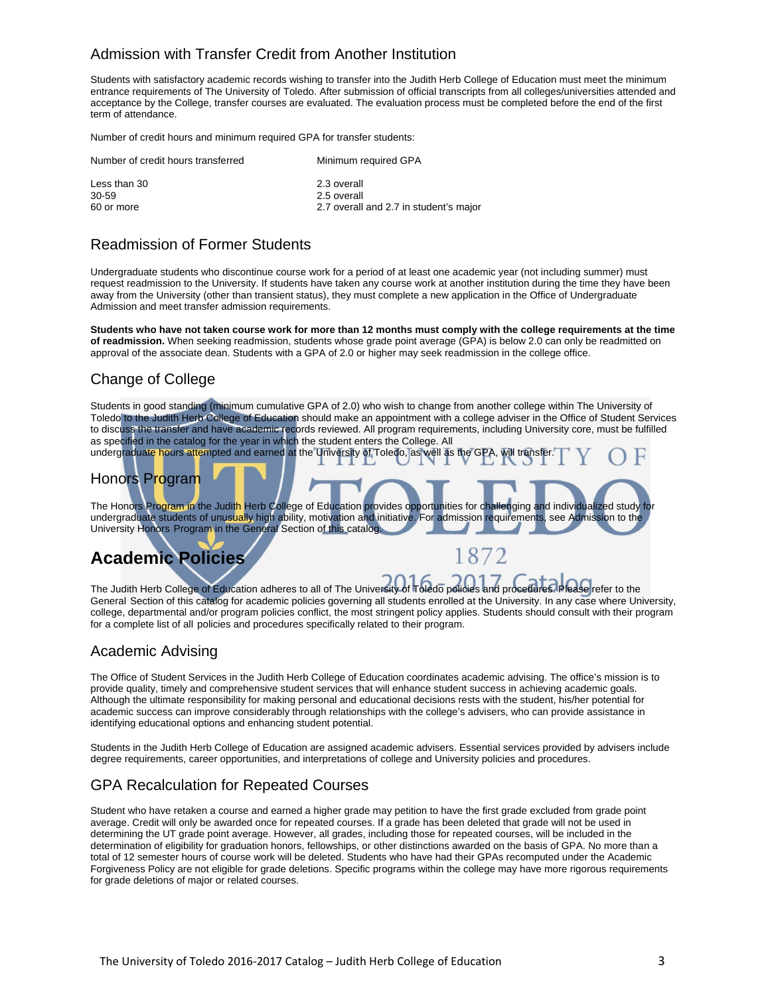### Admission with Transfer Credit from Another Institution

Students with satisfactory academic records wishing to transfer into the Judith Herb College of Education must meet the minimum entrance requirements of The University of Toledo. After submission of official transcripts from all colleges/universities attended and acceptance by the College, transfer courses are evaluated. The evaluation process must be completed before the end of the first term of attendance.

Number of credit hours and minimum required GPA for transfer students:

| Number of credit hours transferred | Minimum required GPA                   |
|------------------------------------|----------------------------------------|
| Less than 30                       | 2.3 overall                            |
| 30-59                              | 2.5 overall                            |
| 60 or more                         | 2.7 overall and 2.7 in student's major |

### Readmission of Former Students

Undergraduate students who discontinue course work for a period of at least one academic year (not including summer) must request readmission to the University. If students have taken any course work at another institution during the time they have been away from the University (other than transient status), they must complete a new application in the Office of Undergraduate Admission and meet transfer admission requirements.

**Students who have not taken course work for more than 12 months must comply with the college requirements at the time of readmission.** When seeking readmission, students whose grade point average (GPA) is below 2.0 can only be readmitted on approval of the associate dean. Students with a GPA of 2.0 or higher may seek readmission in the college office.

## Change of College

Students in good standing (minimum cumulative GPA of 2.0) who wish to change from another college within The University of Toledo to the Judith Herb College of Education should make an appointment with a college adviser in the Office of Student Services to discuss the transfer and have academic records reviewed. All program requirements, including University core, must be fulfilled as specified in the catalog for the year in which the student enters the College. All undergraduate hours attempted and earned at the University of Toledo, as well as the GPA, will transfer.

## Honors Program

The Honors Program in the Judith Herb College of Education provides opportunities for challenging and individualized study for undergraduate students of unusually high ability, motivation and initiative. For admission requirements, see Admission to the University Honors Program in the General Section of this catalog.

## **Academic Policies**

The Judith Herb College of Education adheres to all of The University of Toledo policies and procedures. Please refer to the General Section of this catalog for academic policies governing all students enrolled at the University. In any case where University, college, departmental and/or program policies conflict, the most stringent policy applies. Students should consult with their program for a complete list of all policies and procedures specifically related to their program.

1872

### Academic Advising

The Office of Student Services in the Judith Herb College of Education coordinates academic advising. The office's mission is to provide quality, timely and comprehensive student services that will enhance student success in achieving academic goals. Although the ultimate responsibility for making personal and educational decisions rests with the student, his/her potential for academic success can improve considerably through relationships with the college's advisers, who can provide assistance in identifying educational options and enhancing student potential.

Students in the Judith Herb College of Education are assigned academic advisers. Essential services provided by advisers include degree requirements, career opportunities, and interpretations of college and University policies and procedures.

### GPA Recalculation for Repeated Courses

Student who have retaken a course and earned a higher grade may petition to have the first grade excluded from grade point average. Credit will only be awarded once for repeated courses. If a grade has been deleted that grade will not be used in determining the UT grade point average. However, all grades, including those for repeated courses, will be included in the determination of eligibility for graduation honors, fellowships, or other distinctions awarded on the basis of GPA. No more than a total of 12 semester hours of course work will be deleted. Students who have had their GPAs recomputed under the Academic Forgiveness Policy are not eligible for grade deletions. Specific programs within the college may have more rigorous requirements for grade deletions of major or related courses.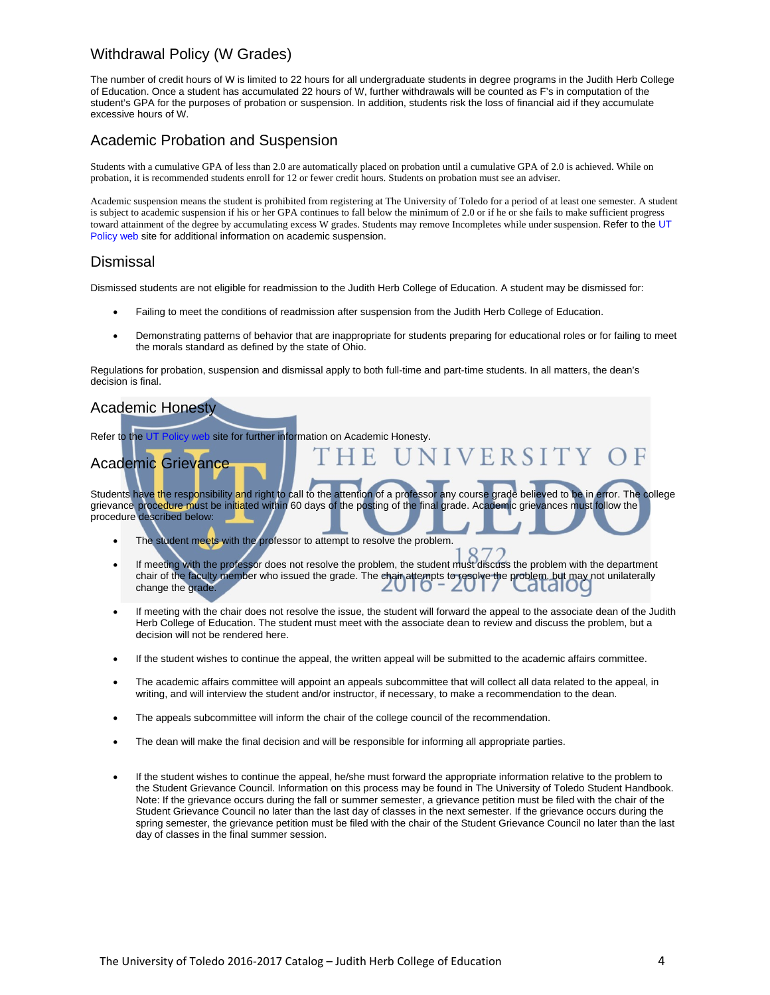## Withdrawal Policy (W Grades)

The number of credit hours of W is limited to 22 hours for all undergraduate students in degree programs in the Judith Herb College of Education. Once a student has accumulated 22 hours of W, further withdrawals will be counted as F's in computation of the student's GPA for the purposes of probation or suspension. In addition, students risk the loss of financial aid if they accumulate excessive hours of W.

### Academic Probation and Suspension

Students with a cumulative GPA of less than 2.0 are automatically placed on probation until a cumulative GPA of 2.0 is achieved. While on probation, it is recommended students enroll for 12 or fewer credit hours. Students on probation must see an adviser.

Academic suspension means the student is prohibited from registering at The University of Toledo for a period of at least one semester. A student is subject to academic suspension if his or her GPA continues to fall below the minimum of 2.0 or if he or she fails to make sufficient progress toward attainment of the degree by accumulating excess W grades. Students may remove Incompletes while under suspension. Refer to the UT Policy web site for additional information on academic suspension.

### Dismissal

Dismissed students are not eligible for readmission to the Judith Herb College of Education. A student may be dismissed for:

- Failing to meet the conditions of readmission after suspension from the Judith Herb College of Education.
- Demonstrating patterns of behavior that are inappropriate for students preparing for educational roles or for failing to meet the morals standard as defined by the state of Ohio.

Regulations for probation, suspension and dismissal apply to both full-time and part-time students. In all matters, the dean's decision is final.

### Academic Honesty

Refer to the UT Policy web site for further information on Academic Honesty.

## Academic Grievance

Students have the responsibility and right to call to the attention of a professor any course grade believed to be in error. The college grievance procedure must be initiated within 60 days of the posting of the final grade. Academic grievances must follow the procedure described below:

NIVERSITY O

- The student meets with the professor to attempt to resolve the problem.
- If meeting with the professor does not resolve the problem, the student must discuss the problem with the department chair of the faculty member who issued the grade. The chair attempts to resolve the problem, but may not unilaterally<br>change the grade. change the grade.
- If meeting with the chair does not resolve the issue, the student will forward the appeal to the associate dean of the Judith Herb College of Education. The student must meet with the associate dean to review and discuss the problem, but a decision will not be rendered here.
- If the student wishes to continue the appeal, the written appeal will be submitted to the academic affairs committee.
- The academic affairs committee will appoint an appeals subcommittee that will collect all data related to the appeal, in writing, and will interview the student and/or instructor, if necessary, to make a recommendation to the dean.
- The appeals subcommittee will inform the chair of the college council of the recommendation.
- The dean will make the final decision and will be responsible for informing all appropriate parties.
- If the student wishes to continue the appeal, he/she must forward the appropriate information relative to the problem to the Student Grievance Council. Information on this process may be found in The University of Toledo Student Handbook. Note: If the grievance occurs during the fall or summer semester, a grievance petition must be filed with the chair of the Student Grievance Council no later than the last day of classes in the next semester. If the grievance occurs during the spring semester, the grievance petition must be filed with the chair of the Student Grievance Council no later than the last day of classes in the final summer session.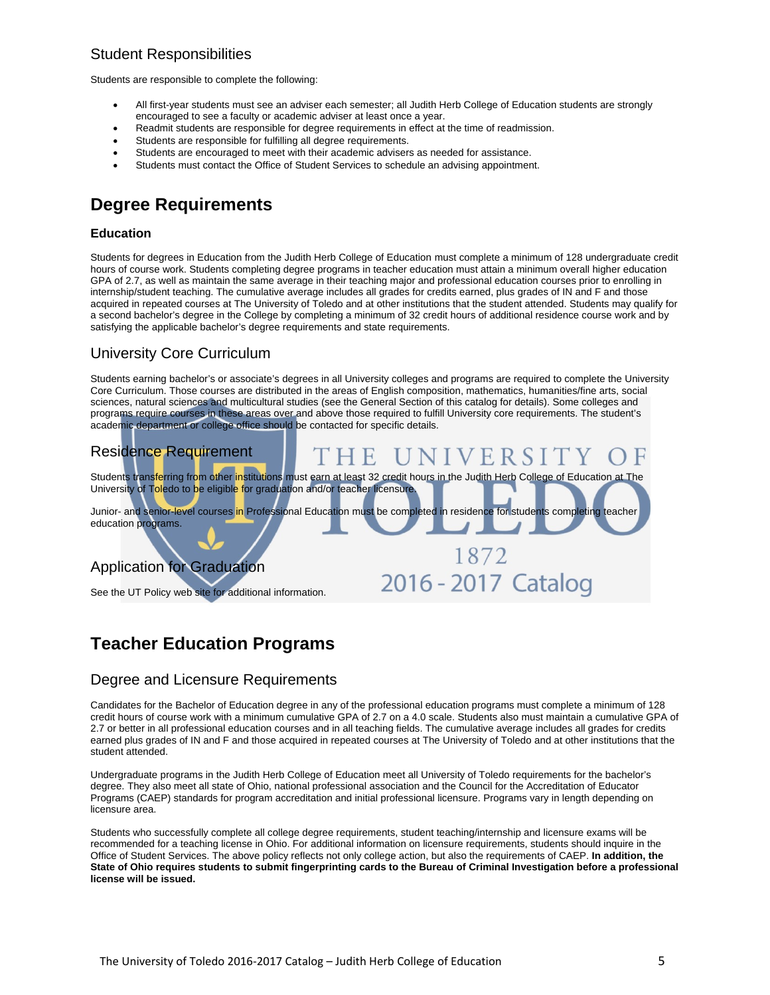## Student Responsibilities

Students are responsible to complete the following:

- All first-year students must see an adviser each semester; all Judith Herb College of Education students are strongly encouraged to see a faculty or academic adviser at least once a year.
- Readmit students are responsible for degree requirements in effect at the time of readmission.
- Students are responsible for fulfilling all degree requirements.
- Students are encouraged to meet with their academic advisers as needed for assistance.
- Students must contact the Office of Student Services to schedule an advising appointment.

## **Degree Requirements**

#### **Education**

Students for degrees in Education from the Judith Herb College of Education must complete a minimum of 128 undergraduate credit hours of course work. Students completing degree programs in teacher education must attain a minimum overall higher education GPA of 2.7, as well as maintain the same average in their teaching major and professional education courses prior to enrolling in internship/student teaching. The cumulative average includes all grades for credits earned, plus grades of IN and F and those acquired in repeated courses at The University of Toledo and at other institutions that the student attended. Students may qualify for a second bachelor's degree in the College by completing a minimum of 32 credit hours of additional residence course work and by satisfying the applicable bachelor's degree requirements and state requirements.

### University Core Curriculum

Students earning bachelor's or associate's degrees in all University colleges and programs are required to complete the University Core Curriculum. Those courses are distributed in the areas of English composition, mathematics, humanities/fine arts, social sciences, natural sciences and multicultural studies (see the General Section of this catalog for details). Some colleges and programs require courses in these areas over and above those required to fulfill University core requirements. The student's academic department or college office should be contacted for specific details.



## **Teacher Education Programs**

#### Degree and Licensure Requirements

Candidates for the Bachelor of Education degree in any of the professional education programs must complete a minimum of 128 credit hours of course work with a minimum cumulative GPA of 2.7 on a 4.0 scale. Students also must maintain a cumulative GPA of 2.7 or better in all professional education courses and in all teaching fields. The cumulative average includes all grades for credits earned plus grades of IN and F and those acquired in repeated courses at The University of Toledo and at other institutions that the student attended.

Undergraduate programs in the Judith Herb College of Education meet all University of Toledo requirements for the bachelor's degree. They also meet all state of Ohio, national professional association and the Council for the Accreditation of Educator Programs (CAEP) standards for program accreditation and initial professional licensure. Programs vary in length depending on licensure area.

Students who successfully complete all college degree requirements, student teaching/internship and licensure exams will be recommended for a teaching license in Ohio. For additional information on licensure requirements, students should inquire in the Office of Student Services. The above policy reflects not only college action, but also the requirements of CAEP. **In addition, the State of Ohio requires students to submit fingerprinting cards to the Bureau of Criminal Investigation before a professional license will be issued.**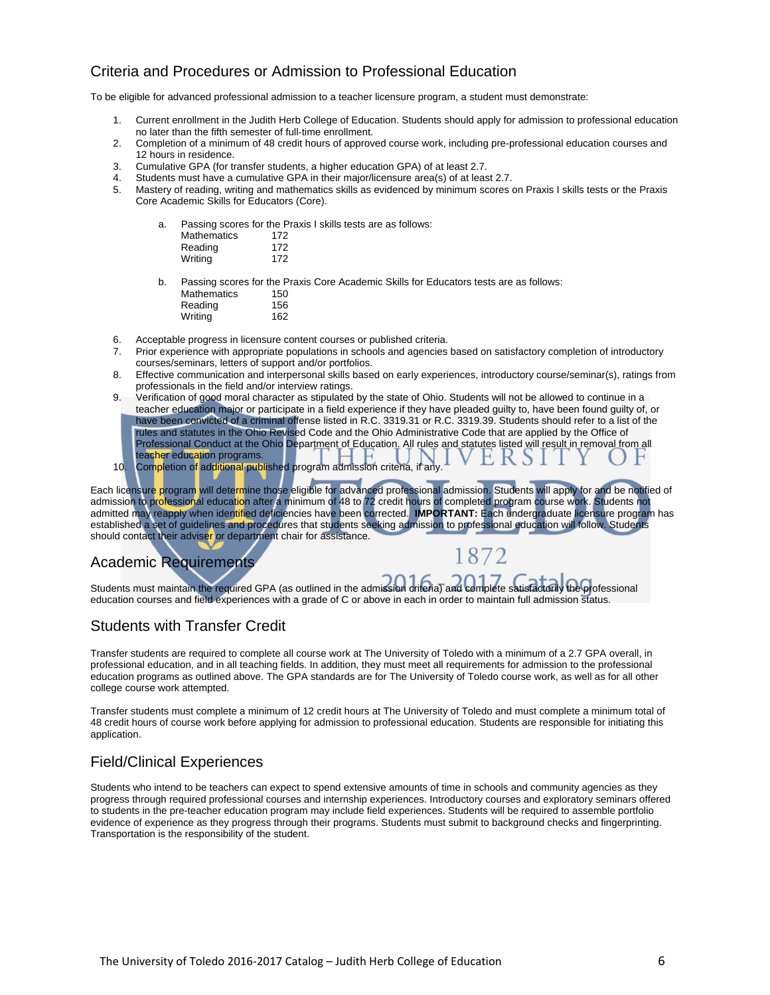## Criteria and Procedures or Admission to Professional Education

To be eligible for advanced professional admission to a teacher licensure program, a student must demonstrate:

- 1. Current enrollment in the Judith Herb College of Education. Students should apply for admission to professional education no later than the fifth semester of full-time enrollment.
- 2. Completion of a minimum of 48 credit hours of approved course work, including pre-professional education courses and 12 hours in residence.
- 3. Cumulative GPA (for transfer students, a higher education GPA) of at least 2.7.
- Students must have a cumulative GPA in their major/licensure area(s) of at least 2.7.
- 5. Mastery of reading, writing and mathematics skills as evidenced by minimum scores on Praxis I skills tests or the Praxis Core Academic Skills for Educators (Core).

| а. |                    | Passing scores for the Praxis I skills tests are as follows: |  |
|----|--------------------|--------------------------------------------------------------|--|
|    | <b>Mathematics</b> | 172                                                          |  |
|    | Reading            | 172                                                          |  |
|    | Writing            | 172                                                          |  |
| b. |                    | Passing scores for the Praxis Core Academic Skills for Eq.   |  |

he Praxis Core Academic Skills for Educators tests are as follows:<br>150 Mathematics Reading 156 Writing 162

- 6. Acceptable progress in licensure content courses or published criteria.
- 7. Prior experience with appropriate populations in schools and agencies based on satisfactory completion of introductory courses/seminars, letters of support and/or portfolios.
- 8. Effective communication and interpersonal skills based on early experiences, introductory course/seminar(s), ratings from professionals in the field and/or interview ratings.
- 9. Verification of good moral character as stipulated by the state of Ohio. Students will not be allowed to continue in a teacher education major or participate in a field experience if they have pleaded guilty to, have been found guilty of, or have been convicted of a criminal offense listed in R.C. 3319.31 or R.C. 3319.39. Students should refer to a list of the rules and statutes in the Ohio Revised Code and the Ohio Administrative Code that are applied by the Office of Professional Conduct at the Ohio Department of Education. All rules and statutes listed will result in removal from all teacher education programs.
- 10. Completion of additional published program admission criteria, if any.

Each licensure program will determine those eligible for advanced professional admission. Students will apply for and be notified of admission to professional education after a minimum of 48 to 72 credit hours of completed program course work. Students not admitted may reapply when identified deficiencies have been corrected. **IMPORTANT:** Each undergraduate licensure program has established a set of guidelines and procedures that students seeking admission to professional education will follow. Students should contact their adviser or department chair for assistance.

1872

## Academic Requirements

Students must maintain the required GPA (as outlined in the admission criteria) and complete satisfactorily the professional education courses and field experiences with a grade of C or above in each in order to maintain full admission status.

### Students with Transfer Credit

Transfer students are required to complete all course work at The University of Toledo with a minimum of a 2.7 GPA overall, in professional education, and in all teaching fields. In addition, they must meet all requirements for admission to the professional education programs as outlined above. The GPA standards are for The University of Toledo course work, as well as for all other college course work attempted.

Transfer students must complete a minimum of 12 credit hours at The University of Toledo and must complete a minimum total of 48 credit hours of course work before applying for admission to professional education. Students are responsible for initiating this application.

### Field/Clinical Experiences

Students who intend to be teachers can expect to spend extensive amounts of time in schools and community agencies as they progress through required professional courses and internship experiences. Introductory courses and exploratory seminars offered to students in the pre-teacher education program may include field experiences. Students will be required to assemble portfolio evidence of experience as they progress through their programs. Students must submit to background checks and fingerprinting. Transportation is the responsibility of the student.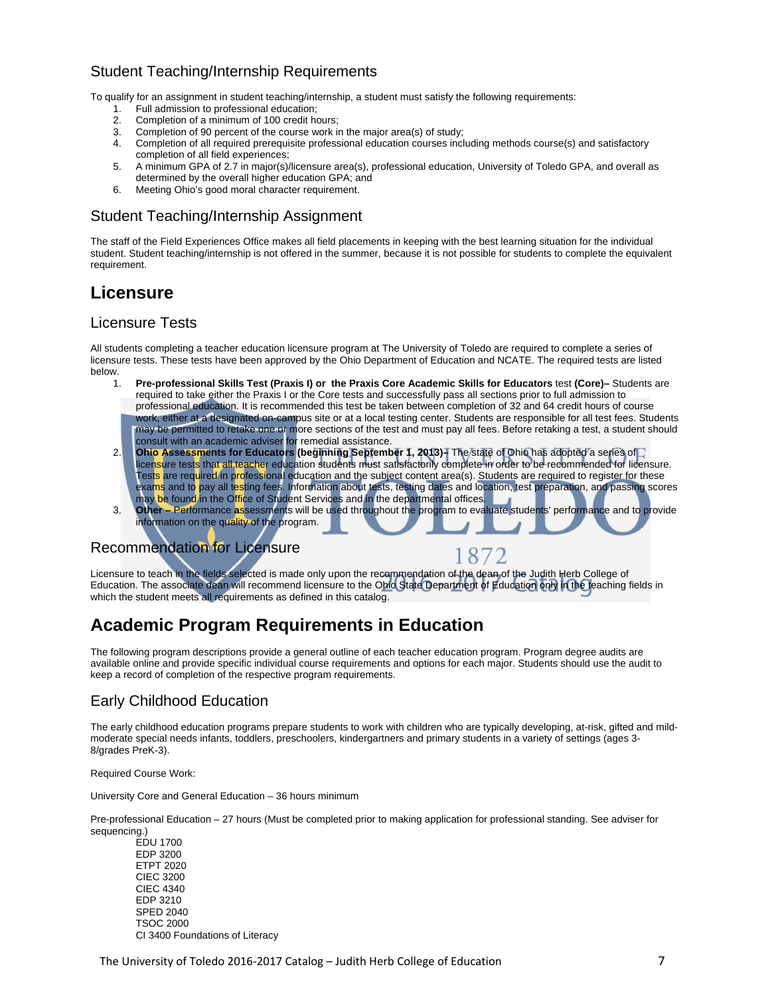## Student Teaching/Internship Requirements

To qualify for an assignment in student teaching/internship, a student must satisfy the following requirements:

- 1. Full admission to professional education;<br>2. Completion of a minimum of 100 credit ho
- 2. Completion of a minimum of 100 credit hours;
- 3. Completion of 90 percent of the course work in the major area(s) of study;
- 4. Completion of all required prerequisite professional education courses including methods course(s) and satisfactory completion of all field experiences;
- 5. A minimum GPA of 2.7 in major(s)/licensure area(s), professional education, University of Toledo GPA, and overall as determined by the overall higher education GPA; and
- 6. Meeting Ohio's good moral character requirement.

### Student Teaching/Internship Assignment

The staff of the Field Experiences Office makes all field placements in keeping with the best learning situation for the individual student. Student teaching/internship is not offered in the summer, because it is not possible for students to complete the equivalent requirement.

## **Licensure**

#### Licensure Tests

All students completing a teacher education licensure program at The University of Toledo are required to complete a series of licensure tests. These tests have been approved by the Ohio Department of Education and NCATE. The required tests are listed below.

- 1. **Pre-professional Skills Test (Praxis I) or the Praxis Core Academic Skills for Educators** test **(Core)–** Students are required to take either the Praxis I or the Core tests and successfully pass all sections prior to full admission to professional education. It is recommended this test be taken between completion of 32 and 64 credit hours of course work, either at a designated on-campus site or at a local testing center. Students are responsible for all test fees. Students may be permitted to retake one or more sections of the test and must pay all fees. Before retaking a test, a student should consult with an academic adviser for remedial assistance.
- 2. **Ohio Assessments for Educators (beginning September 1, 2013)–** The state of Ohio has adopted a series of licensure tests that all teacher education students must satisfactorily complete in order to be recommended for licensure. Tests are required in professional education and the subject content area(s). Students are required to register for these exams and to pay all testing fees. Information about tests, testing dates and location, test preparation, and passing scores may be found in the Office of Student Services and in the departmental offices.
- 3. **Other** Performance **a**ssessments will be used throughout the program to evaluate students' performance and to provide information on the quality of the program.

8

## Recommendation for Licensure

Licensure to teach in the fields selected is made only upon the recommendation of the dean of the Judith Herb College of Education. The associate dean will recommend licensure to the Ohio State Department of Education only in the teaching fields in which the student meets all requirements as defined in this catalog.

## **Academic Program Requirements in Education**

The following program descriptions provide a general outline of each teacher education program. Program degree audits are available online and provide specific individual course requirements and options for each major. Students should use the audit to keep a record of completion of the respective program requirements.

### Early Childhood Education

The early childhood education programs prepare students to work with children who are typically developing, at-risk, gifted and mildmoderate special needs infants, toddlers, preschoolers, kindergartners and primary students in a variety of settings (ages 3- 8/grades PreK-3).

Required Course Work:

University Core and General Education – 36 hours minimum

Pre-professional Education – 27 hours (Must be completed prior to making application for professional standing. See adviser for sequencing.)

 EDU 1700 EDP 3200 ETPT 2020 CIEC 3200 CIEC 4340 EDP 3210 SPED 2040 TSOC 2000 CI 3400 Foundations of Literacy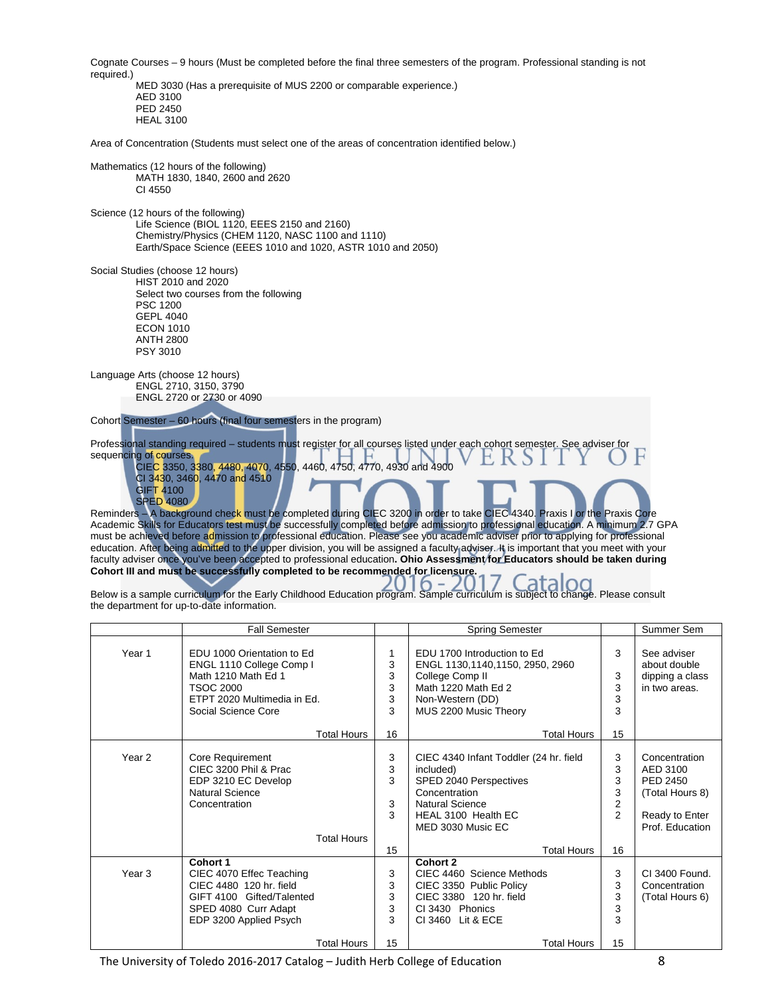Cognate Courses – 9 hours (Must be completed before the final three semesters of the program. Professional standing is not required.) MED 3030 (Has a prerequisite of MUS 2200 or comparable experience.) AED 3100 PED 2450 HEAL 3100 Area of Concentration (Students must select one of the areas of concentration identified below.) Mathematics (12 hours of the following) MATH 1830, 1840, 2600 and 2620 CI 4550 Science (12 hours of the following) Life Science (BIOL 1120, EEES 2150 and 2160) Chemistry/Physics (CHEM 1120, NASC 1100 and 1110) Earth/Space Science (EEES 1010 and 1020, ASTR 1010 and 2050) Social Studies (choose 12 hours) HIST 2010 and 2020 Select two courses from the following PSC 1200 GEPL 4040 ECON 1010 ANTH 2800 PSY 3010 Language Arts (choose 12 hours) ENGL 2710, 3150, 3790 ENGL 2720 or 2730 or 4090 Cohort Semester – 60 hours (final four semesters in the program) Professional standing required – students must register for all courses listed under each cohort semester. See adviser for sequencing of courses CIEC 3350, 3380, 4480, 4070, 4550, 4460, 4750, 4770, 4930 and 4900 CI 3430, 3460, 4470 and 4510 GIFT 4100 SPED 4080 Reminders - A background check must be completed during CIEC 3200 in order to take CIEC 4340. Praxis I or the Praxis Core Academic Skills for Educators test must be successfully completed before admission to professional education. A minimum 2.7 GPA must be achieved before admission to professional education. Please see you academic adviser prior to applying for professional education. After being admitted to the upper division, you will be assigned a faculty adviser. It is important that you meet with your

Below is a sample curriculum for the Early Childhood Education program. Sample curriculum is subject to change. Please consult the department for up-to-date information.

faculty adviser once you've been accepted to professional education**. Ohio Assessment for Educators should be taken during** 

|                   | <b>Fall Semester</b>                                                                                                                                          |                             | <b>Spring Semester</b>                                                                                                                                                                     |                                                         | Summer Sem                                                                                    |
|-------------------|---------------------------------------------------------------------------------------------------------------------------------------------------------------|-----------------------------|--------------------------------------------------------------------------------------------------------------------------------------------------------------------------------------------|---------------------------------------------------------|-----------------------------------------------------------------------------------------------|
| Year 1            | EDU 1000 Orientation to Ed<br>ENGL 1110 College Comp I<br>Math 1210 Math Ed 1<br><b>TSOC 2000</b><br>ETPT 2020 Multimedia in Ed.<br>Social Science Core       | 3<br>3<br>3<br>3<br>3       | EDU 1700 Introduction to Ed<br>ENGL 1130,1140,1150, 2950, 2960<br>College Comp II<br>Math 1220 Math Ed 2<br>Non-Western (DD)<br>MUS 2200 Music Theory                                      | 3<br>3<br>3<br>3<br>3                                   | See adviser<br>about double<br>dipping a class<br>in two areas.                               |
|                   | <b>Total Hours</b>                                                                                                                                            | 16                          | <b>Total Hours</b>                                                                                                                                                                         | 15                                                      |                                                                                               |
| Year <sub>2</sub> | <b>Core Requirement</b><br>CIEC 3200 Phil & Prac<br>EDP 3210 EC Develop<br><b>Natural Science</b><br>Concentration<br><b>Total Hours</b>                      | 3<br>3<br>3<br>3<br>3<br>15 | CIEC 4340 Infant Toddler (24 hr. field<br>included)<br>SPED 2040 Perspectives<br>Concentration<br><b>Natural Science</b><br>HEAL 3100 Health EC<br>MED 3030 Music EC<br><b>Total Hours</b> | 3<br>3<br>3<br>3<br>$\mathbf 2$<br>$\overline{2}$<br>16 | Concentration<br>AED 3100<br>PED 2450<br>(Total Hours 8)<br>Ready to Enter<br>Prof. Education |
| Year <sub>3</sub> | Cohort 1<br>CIEC 4070 Effec Teaching<br>CIEC 4480 120 hr. field<br>GIFT 4100 Gifted/Talented<br>SPED 4080 Curr Adapt<br>EDP 3200 Applied Psych<br>Total Hours | 3<br>3<br>3<br>3<br>3<br>15 | <b>Cohort 2</b><br>CIEC 4460 Science Methods<br>CIEC 3350 Public Policy<br>CIEC 3380 120 hr. field<br>CI 3430 Phonics<br>CI 3460<br>Lit & ECE<br><b>Total Hours</b>                        | 3<br>3<br>3<br>3<br>3<br>15                             | CI 3400 Found.<br>Concentration<br>(Total Hours 6)                                            |

The University of Toledo 2016-2017 Catalog – Judith Herb College of Education **8** 

**Cohort III and must be successfully completed to be recommended for licensure.**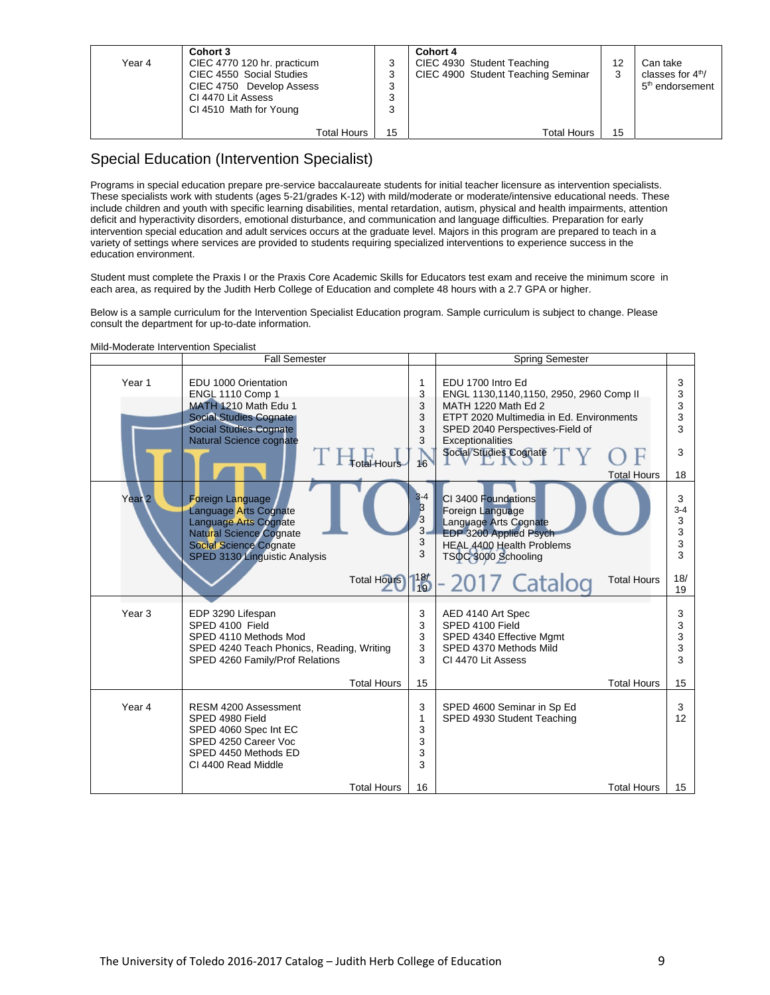| Year 4 | Cohort 3<br>CIEC 4770 120 hr. practicum<br>CIEC 4550 Social Studies<br>CIEC 4750 Develop Assess<br>CI 4470 Lit Assess<br>CI 4510 Math for Young | ີ<br>رب<br>વ<br>ີ | Cohort 4<br>CIEC 4930 Student Teaching<br>CIEC 4900 Student Teaching Seminar | 3  | Can take<br>classes for $4th$ /<br>5 <sup>th</sup> endorsement |
|--------|-------------------------------------------------------------------------------------------------------------------------------------------------|-------------------|------------------------------------------------------------------------------|----|----------------------------------------------------------------|
|        | Total Hours                                                                                                                                     | 15                | <b>Total Hours</b>                                                           | 15 |                                                                |

### Special Education (Intervention Specialist)

Programs in special education prepare pre-service baccalaureate students for initial teacher licensure as intervention specialists. These specialists work with students (ages 5-21/grades K-12) with mild/moderate or moderate/intensive educational needs. These include children and youth with specific learning disabilities, mental retardation, autism, physical and health impairments, attention deficit and hyperactivity disorders, emotional disturbance, and communication and language difficulties. Preparation for early intervention special education and adult services occurs at the graduate level. Majors in this program are prepared to teach in a variety of settings where services are provided to students requiring specialized interventions to experience success in the education environment.

Student must complete the Praxis I or the Praxis Core Academic Skills for Educators test exam and receive the minimum score in each area, as required by the Judith Herb College of Education and complete 48 hours with a 2.7 GPA or higher.

Below is a sample curriculum for the Intervention Specialist Education program. Sample curriculum is subject to change. Please consult the department for up-to-date information.

|                   | <b>Fall Semester</b>                                                                                                                                                                                       |                                                         | <b>Spring Semester</b>                                                                                                                                                                                                                 |                                               |
|-------------------|------------------------------------------------------------------------------------------------------------------------------------------------------------------------------------------------------------|---------------------------------------------------------|----------------------------------------------------------------------------------------------------------------------------------------------------------------------------------------------------------------------------------------|-----------------------------------------------|
| Year <sub>1</sub> | EDU 1000 Orientation<br>ENGL 1110 Comp 1<br>MATH 1210 Math Edu 1<br><b>Social Studies Cognate</b><br><b>Social Studies Cognate</b><br><b>Natural Science cognate</b><br><b>Total Hours</b>                 | 1<br>3<br>3<br>3<br>3<br>3<br>16                        | EDU 1700 Intro Ed<br>ENGL 1130,1140,1150, 2950, 2960 Comp II<br>MATH 1220 Math Ed 2<br>ETPT 2020 Multimedia in Ed. Environments<br>SPED 2040 Perspectives-Field of<br>Exceptionalities<br>Social Studies Cognate<br><b>Total Hours</b> | 3<br>3<br>3<br>3<br>3<br>3<br>18              |
| Year <sub>2</sub> | <b>Foreign Language</b><br>Language Arts Cognate<br><b>Language Arts Cognate</b><br><b>Natural Science Cognate</b><br><b>Social Science Cognate</b><br>SPED 3130 Linguistic Analysis<br><b>Total Hours</b> | $3 - 4$<br>3<br>3<br>$3-$<br>3<br>3<br>$\frac{187}{19}$ | CI 3400 Foundations<br>Foreign Language<br>Language Arts Cognate<br>EDP 3200 Applied Psych<br>HEAL 4400 Health Problems<br>TSOC 3000 Schooling<br>-2017 Catalog<br><b>Total Hours</b>                                                  | 3<br>$3 - 4$<br>3<br>3<br>3<br>3<br>18/<br>19 |
| Year <sub>3</sub> | EDP 3290 Lifespan<br>SPED 4100 Field<br>SPED 4110 Methods Mod<br>SPED 4240 Teach Phonics, Reading, Writing<br>SPED 4260 Family/Prof Relations<br><b>Total Hours</b>                                        | 3<br>3<br>3<br>3<br>3<br>15                             | AED 4140 Art Spec<br>SPED 4100 Field<br>SPED 4340 Effective Mgmt<br>SPED 4370 Methods Mild<br>CI 4470 Lit Assess<br><b>Total Hours</b>                                                                                                 | 3<br>3<br>3<br>3<br>3<br>15                   |
| Year 4            | RESM 4200 Assessment<br>SPED 4980 Field<br>SPED 4060 Spec Int EC<br>SPED 4250 Career Voc<br>SPED 4450 Methods ED<br>CI 4400 Read Middle                                                                    | 3<br>1<br>3<br>3<br>3<br>3                              | SPED 4600 Seminar in Sp Ed<br>SPED 4930 Student Teaching                                                                                                                                                                               | 3<br>12                                       |
|                   | <b>Total Hours</b>                                                                                                                                                                                         | 16                                                      | <b>Total Hours</b>                                                                                                                                                                                                                     | 15                                            |

Mild-Moderate Intervention Specialist

┱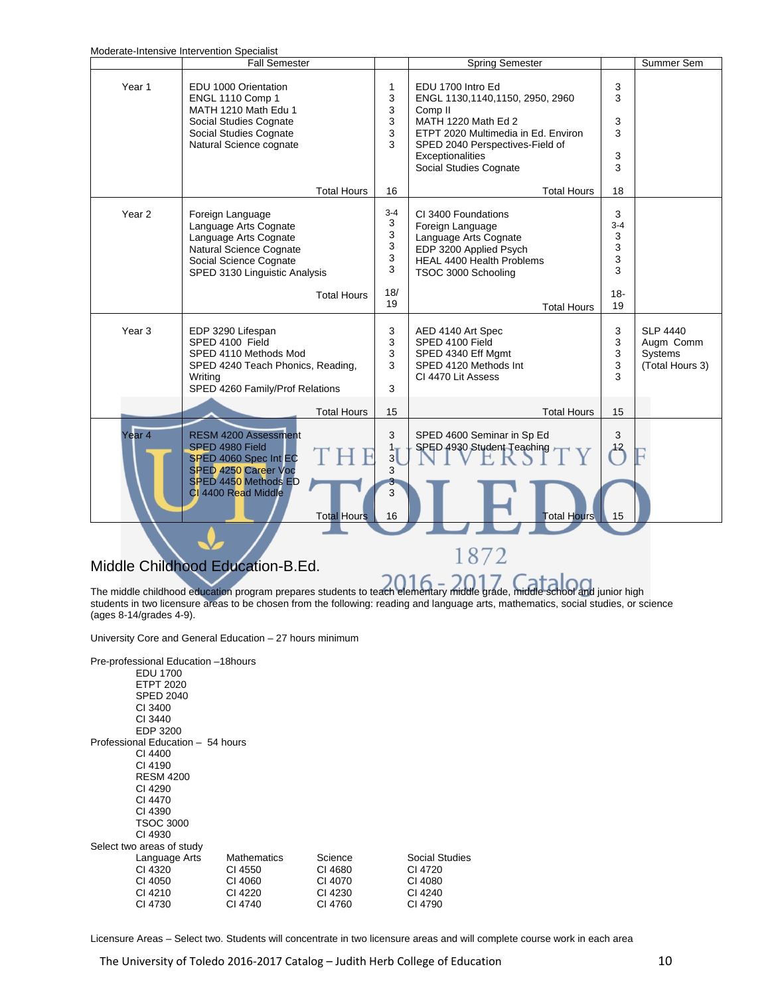Moderate-Intensive Intervention Specialist

|                   | Moderate-intensive intervention Specialist<br><b>Fall Semester</b>                                                                                                                                |                                                | <b>Spring Semester</b>                                                                                                                                                                                                    |                                                  | Summer Sem                                                        |
|-------------------|---------------------------------------------------------------------------------------------------------------------------------------------------------------------------------------------------|------------------------------------------------|---------------------------------------------------------------------------------------------------------------------------------------------------------------------------------------------------------------------------|--------------------------------------------------|-------------------------------------------------------------------|
|                   |                                                                                                                                                                                                   |                                                |                                                                                                                                                                                                                           |                                                  |                                                                   |
| Year <sub>1</sub> | EDU 1000 Orientation<br><b>ENGL 1110 Comp 1</b><br>MATH 1210 Math Edu 1<br>Social Studies Cognate<br>Social Studies Cognate<br>Natural Science cognate                                            | 1<br>3<br>3<br>3<br>3<br>3                     | EDU 1700 Intro Ed<br>ENGL 1130,1140,1150, 2950, 2960<br>Comp <sub>II</sub><br>MATH 1220 Math Ed 2<br>ETPT 2020 Multimedia in Ed. Environ<br>SPED 2040 Perspectives-Field of<br>Exceptionalities<br>Social Studies Cognate | 3<br>3<br>3<br>3<br>3<br>3                       |                                                                   |
|                   | <b>Total Hours</b>                                                                                                                                                                                | 16                                             | <b>Total Hours</b>                                                                                                                                                                                                        | 18                                               |                                                                   |
| Year <sub>2</sub> | Foreign Language<br>Language Arts Cognate<br>Language Arts Cognate<br>Natural Science Cognate<br>Social Science Cognate<br>SPED 3130 Linguistic Analysis<br><b>Total Hours</b>                    | $3 - 4$<br>3<br>3<br>3<br>3<br>3<br>18/<br>19  | CI 3400 Foundations<br>Foreign Language<br>Language Arts Cognate<br>EDP 3200 Applied Psych<br><b>HEAL 4400 Health Problems</b><br>TSOC 3000 Schooling                                                                     | 3<br>$3 - 4$<br>3<br>3<br>3<br>3<br>$18 -$<br>19 |                                                                   |
| Year <sub>3</sub> | EDP 3290 Lifespan<br>SPED 4100 Field<br>SPED 4110 Methods Mod<br>SPED 4240 Teach Phonics, Reading,<br>Writing<br>SPED 4260 Family/Prof Relations                                                  | 3<br>3<br>3<br>3<br>3                          | <b>Total Hours</b><br>AED 4140 Art Spec<br>SPED 4100 Field<br>SPED 4340 Eff Mgmt<br>SPED 4120 Methods Int<br>CI 4470 Lit Assess                                                                                           | 3<br>3<br>3<br>3<br>3                            | <b>SLP 4440</b><br>Augm Comm<br><b>Systems</b><br>(Total Hours 3) |
| Year <sub>4</sub> | <b>Total Hours</b><br><b>RESM 4200 Assessment</b><br>SPED 4980 Field<br>SPED 4060 Spec Int EC<br><b>SPED 4250 Career Voc</b><br>SPED 4450 Methods ED<br>CI 4400 Read Middle<br><b>Total Hours</b> | 15<br>3<br>1 <sub>T</sub><br>3<br>3<br>3<br>16 | <b>Total Hours</b><br>SPED 4600 Seminar in Sp Ed<br>SPED 4930 Student Teaching<br><b>Total Hours</b>                                                                                                                      | 15<br>3<br>$^{12}$<br>15                         |                                                                   |

## Middle Childhood Education-B.Ed.

The middle childhood education program prepares students to teach elementary middle grade, middle school and junior high students in two licensure areas to be chosen from the following: reading and language arts, mathematics, social studies, or science (ages 8-14/grades 4-9).

1872

University Core and General Education – 27 hours minimum

| Pre-professional Education -18hours<br><b>EDU 1700</b><br><b>ETPT 2020</b><br><b>SPED 2040</b><br>CI 3400<br>CI 3440<br>EDP 3200 |                    |         |                |
|----------------------------------------------------------------------------------------------------------------------------------|--------------------|---------|----------------|
| Professional Education - 54 hours                                                                                                |                    |         |                |
| CI 4400                                                                                                                          |                    |         |                |
| CI 4190                                                                                                                          |                    |         |                |
| <b>RESM 4200</b>                                                                                                                 |                    |         |                |
| CI 4290                                                                                                                          |                    |         |                |
| CI 4470                                                                                                                          |                    |         |                |
| CI 4390                                                                                                                          |                    |         |                |
| <b>TSOC 3000</b>                                                                                                                 |                    |         |                |
| CI 4930                                                                                                                          |                    |         |                |
| Select two areas of study                                                                                                        |                    |         |                |
| Language Arts                                                                                                                    | <b>Mathematics</b> | Science | Social Studies |
| CI 4320                                                                                                                          | CI 4550            | CI 4680 | CI 4720        |
| CI 4050                                                                                                                          | CI 4060            | CI 4070 | CI 4080        |
| CI 4210                                                                                                                          | CI 4220            | CI 4230 | CI 4240        |
| CI 4730                                                                                                                          | CI 4740            | CI 4760 | CI 4790        |
|                                                                                                                                  |                    |         |                |

Licensure Areas – Select two. Students will concentrate in two licensure areas and will complete course work in each area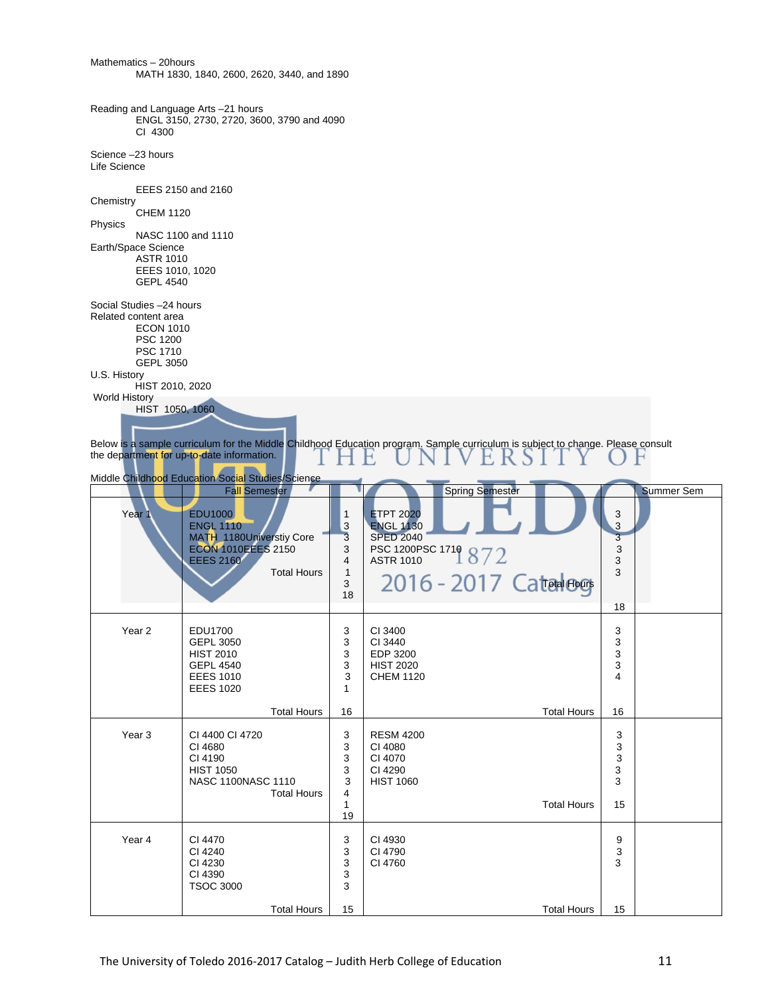| Mathematics - 20hours                                                                                                                   | MATH 1830, 1840, 2600, 2620, 3440, and 1890                                                                                                                   |                                                                                   |                                                                                                                                                                                                                     |  |
|-----------------------------------------------------------------------------------------------------------------------------------------|---------------------------------------------------------------------------------------------------------------------------------------------------------------|-----------------------------------------------------------------------------------|---------------------------------------------------------------------------------------------------------------------------------------------------------------------------------------------------------------------|--|
| Reading and Language Arts -21 hours<br>CI 4300                                                                                          | ENGL 3150, 2730, 2720, 3600, 3790 and 4090                                                                                                                    |                                                                                   |                                                                                                                                                                                                                     |  |
| Science -23 hours<br>Life Science                                                                                                       |                                                                                                                                                               |                                                                                   |                                                                                                                                                                                                                     |  |
| Chemistry<br><b>CHEM 1120</b>                                                                                                           | EEES 2150 and 2160                                                                                                                                            |                                                                                   |                                                                                                                                                                                                                     |  |
| Physics<br>Earth/Space Science<br><b>ASTR 1010</b><br>EEES 1010, 1020<br><b>GEPL 4540</b>                                               | NASC 1100 and 1110                                                                                                                                            |                                                                                   |                                                                                                                                                                                                                     |  |
| Social Studies -24 hours<br>Related content area<br><b>ECON 1010</b><br><b>PSC 1200</b><br>PSC 1710<br><b>GEPL 3050</b><br>U.S. History |                                                                                                                                                               |                                                                                   |                                                                                                                                                                                                                     |  |
| HIST 2010, 2020<br><b>World History</b><br>HIST 1050, 1060                                                                              | the department for up-to-date information.<br>Middle Childhood Education Social Studies/Science                                                               |                                                                                   | Below is a sample curriculum for the Middle Childhood Education program. Sample curriculum is subject to change. Please consult                                                                                     |  |
| Year 1                                                                                                                                  | <b>Fall Semester</b><br><b>EDU1000</b><br><b>ENGL 1110</b><br>MATH_1180Universtiy Core<br><b>ECON 1010EEES 2150</b><br><b>EEES 2160</b><br><b>Total Hours</b> | 1<br>$\mathbf{3}$<br>$\overline{\mathbf{3}}$<br>3<br>4<br>$\mathbf{1}$<br>3<br>18 | <b>Spring Semester</b><br><b>Summer Sem</b><br><b>ETPT 2020</b><br>3<br>$\overline{\mathbf{3}}$<br><b>ENGL 1130</b><br><b>SPED 2040</b><br>3<br>PSC 1200PSC 1719 872<br>3<br>3<br>3<br>2016 - 2017 Cated Book<br>18 |  |
| Year <sub>2</sub>                                                                                                                       | EDU1700<br><b>GEPL 3050</b><br><b>HIST 2010</b><br><b>GEPL 4540</b><br><b>EEES 1010</b><br><b>EEES 1020</b><br><b>Total Hours</b>                             | 3<br>3<br>3<br>3<br>3<br>1<br>16                                                  | CI 3400<br>3<br>3<br>CI 3440<br>3<br>EDP 3200<br>3<br><b>HIST 2020</b><br><b>CHEM 1120</b><br>4<br><b>Total Hours</b><br>16                                                                                         |  |
| Year <sub>3</sub>                                                                                                                       | CI 4400 CI 4720<br>CI 4680<br>CI 4190<br><b>HIST 1050</b><br>NASC 1100NASC 1110<br><b>Total Hours</b>                                                         | 3<br>3<br>3<br>3<br>3<br>4<br>1<br>19                                             | <b>RESM 4200</b><br>3<br>CI 4080<br>3<br>CI 4070<br>3<br>3<br>CI 4290<br>3<br><b>HIST 1060</b><br><b>Total Hours</b><br>15                                                                                          |  |
| Year 4                                                                                                                                  | CI 4470<br>CI 4240<br>CI 4230<br>CI 4390<br><b>TSOC 3000</b>                                                                                                  | 3<br>3<br>3<br>3<br>3                                                             | CI 4930<br>9<br>CI 4790<br>3<br>CI 4760<br>3                                                                                                                                                                        |  |
|                                                                                                                                         | <b>Total Hours</b>                                                                                                                                            | 15                                                                                | <b>Total Hours</b><br>15                                                                                                                                                                                            |  |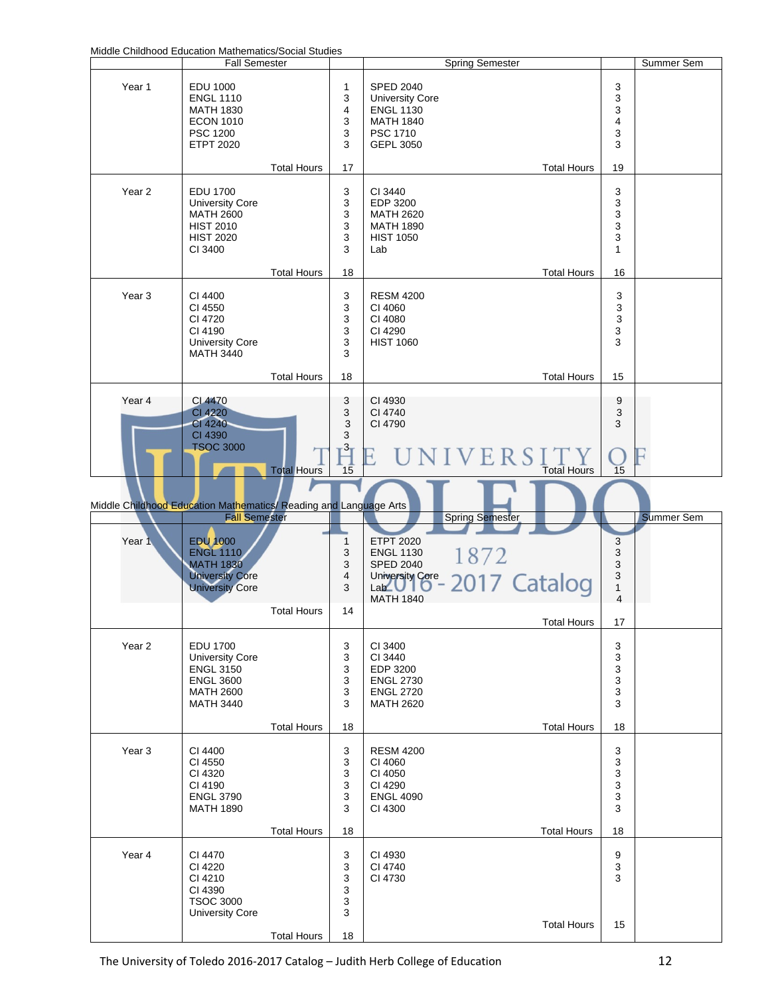Middle Childhood Education Mathematics/Social Studies

|                                                                   | Middle Childhood Education Mathematics/Social Studies<br><b>Fall Semester</b>                                             |                                          |                                                | <b>Spring Semester</b>                                                                                                                 |                                                                | Summer Sem        |
|-------------------------------------------------------------------|---------------------------------------------------------------------------------------------------------------------------|------------------------------------------|------------------------------------------------|----------------------------------------------------------------------------------------------------------------------------------------|----------------------------------------------------------------|-------------------|
| Year 1                                                            | EDU 1000<br><b>ENGL 1110</b><br><b>MATH 1830</b><br><b>ECON 1010</b><br>PSC 1200<br><b>ETPT 2020</b>                      |                                          | 1<br>3<br>4<br>3<br>3<br>3                     | <b>SPED 2040</b><br><b>University Core</b><br><b>ENGL 1130</b><br><b>MATH 1840</b><br>PSC 1710<br>GEPL 3050                            | 3<br>3<br>3<br>4<br>3<br>3                                     |                   |
| Year <sub>2</sub>                                                 | <b>EDU 1700</b><br><b>University Core</b><br><b>MATH 2600</b><br><b>HIST 2010</b><br><b>HIST 2020</b><br>CI 3400          | <b>Total Hours</b>                       | 17<br>3<br>3<br>3<br>3<br>3<br>3               | <b>Total Hours</b><br>CI 3440<br>EDP 3200<br><b>MATH 2620</b><br><b>MATH 1890</b><br><b>HIST 1050</b><br>Lab                           | 19<br>3<br>3<br>3<br>3<br>3<br>$\mathbf{1}$                    |                   |
| Year <sub>3</sub>                                                 | CI 4400<br>CI 4550<br>CI 4720<br>CI 4190<br><b>University Core</b><br><b>MATH 3440</b>                                    | <b>Total Hours</b>                       | 18<br>3<br>3<br>3<br>3<br>3<br>3               | <b>Total Hours</b><br><b>RESM 4200</b><br>CI 4060<br>CI 4080<br>CI 4290<br><b>HIST 1060</b>                                            | 16<br>3<br>$\ensuremath{\mathsf{3}}$<br>$\mathsf 3$<br>3<br>3  |                   |
| Year 4                                                            | <b>CI 4470</b><br><b>CI 4220</b><br>CI 4240<br>CI 4390<br><b>TSOC 3000</b>                                                | <b>Total Hours</b><br><b>Total Hours</b> | 18<br>3<br>3<br>3<br>3<br>3 <sub>T</sub><br>15 | <b>Total Hours</b><br>CI 4930<br>CI 4740<br>CI 4790<br>UNIVERS<br>E<br><b>Total Hours</b>                                              | 15<br>$\boldsymbol{9}$<br>$\ensuremath{\mathsf{3}}$<br>3<br>15 |                   |
|                                                                   |                                                                                                                           |                                          |                                                |                                                                                                                                        |                                                                |                   |
|                                                                   | <b>Fall Semester</b>                                                                                                      |                                          |                                                | Spring Semester                                                                                                                        |                                                                | <b>Summer Sem</b> |
| Year 1                                                            | <b>EDU 1000</b><br><b>ENGL 1110</b><br><b>MATH 1830</b><br><b>University Core</b><br><b>University Core</b>               |                                          | $\mathbf{1}$<br>3<br>3<br>4<br>3               | <b>ETPT 2020</b><br>1872<br><b>ENGL 1130</b><br><b>SPED 2040</b><br>University Core<br>2017 Catalog<br>La <b>L</b><br><b>MATH 1840</b> | 3<br>3<br>3<br>3<br>$\mathbf{1}$<br>4                          |                   |
|                                                                   |                                                                                                                           | <b>Total Hours</b>                       | 14                                             |                                                                                                                                        | 17                                                             |                   |
| Year <sub>2</sub>                                                 | <b>EDU 1700</b><br><b>University Core</b><br><b>ENGL 3150</b><br><b>ENGL 3600</b><br><b>MATH 2600</b><br><b>MATH 3440</b> |                                          | 3<br>3<br>3<br>3<br>3<br>3                     | <b>Total Hours</b><br>CI 3400<br>CI 3440<br>EDP 3200<br><b>ENGL 2730</b><br><b>ENGL 2720</b><br><b>MATH 2620</b>                       | 3<br>3<br>3<br>3<br>3<br>3                                     |                   |
| Year <sub>3</sub>                                                 | CI 4400<br>CI 4550<br>CI 4320<br>CI 4190<br><b>ENGL 3790</b><br><b>MATH 1890</b>                                          | <b>Total Hours</b>                       | 18<br>3<br>3<br>3<br>3<br>3<br>3               | <b>Total Hours</b><br><b>RESM 4200</b><br>CI 4060<br>CI 4050<br>CI 4290<br><b>ENGL 4090</b><br>CI 4300                                 | 18<br>3<br>3<br>3<br>3<br>3<br>3                               |                   |
| Middle Childhood Education Mathematics/ Reading and Language Arts |                                                                                                                           | <b>Total Hours</b>                       | 18                                             | <b>Total Hours</b>                                                                                                                     | 18                                                             |                   |
| Year 4                                                            | CI 4470<br>CI 4220<br>CI 4210<br>CI 4390<br><b>TSOC 3000</b><br><b>University Core</b>                                    | <b>Total Hours</b>                       | 3<br>3<br>3<br>3<br>3<br>3<br>18               | CI 4930<br>CI 4740<br>CI 4730<br><b>Total Hours</b>                                                                                    | $\boldsymbol{9}$<br>3<br>3<br>15                               |                   |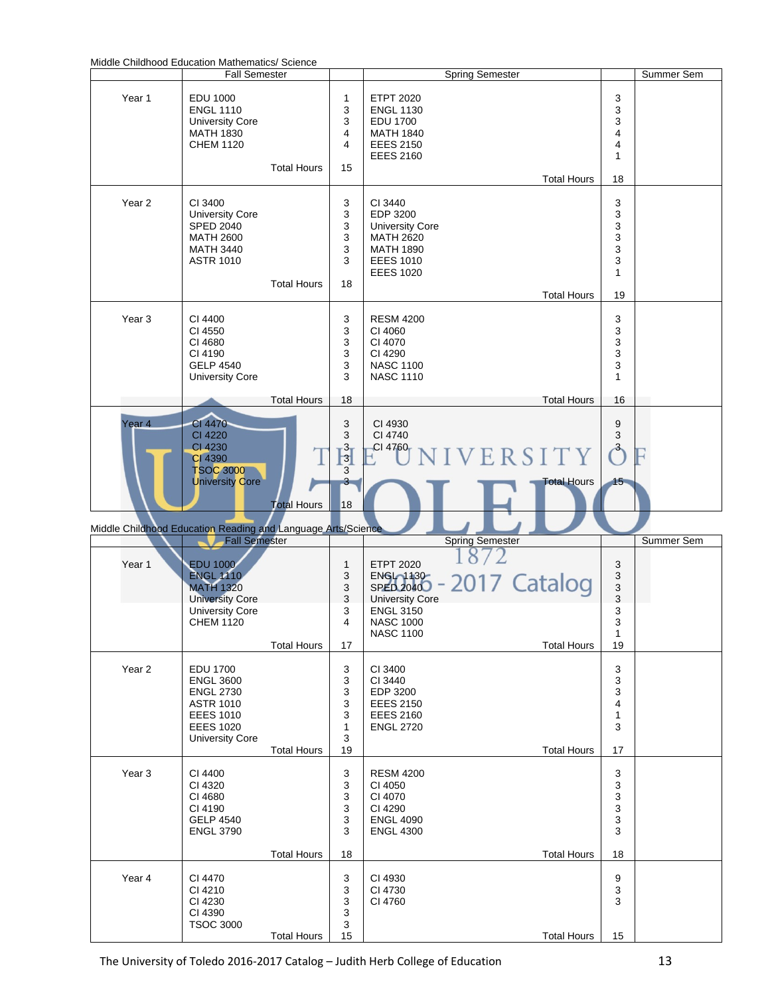|  | Middle Childhood Education Mathematics/ Science |  |  |  |
|--|-------------------------------------------------|--|--|--|
|--|-------------------------------------------------|--|--|--|

| <u>Mique Criliumou Luucalium Mathematics</u> Science         | <b>Fall Semester</b>                                                                                                                   |                    |                                                  |                                                                                                                                                | <b>Spring Semester</b> |                    |                                                                          | Summer Sem |
|--------------------------------------------------------------|----------------------------------------------------------------------------------------------------------------------------------------|--------------------|--------------------------------------------------|------------------------------------------------------------------------------------------------------------------------------------------------|------------------------|--------------------|--------------------------------------------------------------------------|------------|
| Year 1                                                       | <b>EDU 1000</b><br><b>ENGL 1110</b><br><b>University Core</b><br>MATH 1830<br><b>CHEM 1120</b>                                         | <b>Total Hours</b> | 1<br>3<br>3<br>4<br>4<br>15                      | <b>ETPT 2020</b><br><b>ENGL 1130</b><br><b>EDU 1700</b><br><b>MATH 1840</b><br><b>EEES 2150</b><br><b>EEES 2160</b>                            |                        | <b>Total Hours</b> | 3<br>3<br>3<br>4<br>4<br>1<br>18                                         |            |
| Year <sub>2</sub>                                            | CI 3400<br><b>University Core</b><br><b>SPED 2040</b><br><b>MATH 2600</b><br><b>MATH 3440</b><br><b>ASTR 1010</b>                      | <b>Total Hours</b> | 3<br>3<br>3<br>3<br>3<br>3<br>18                 | CI 3440<br>EDP 3200<br><b>University Core</b><br><b>MATH 2620</b><br><b>MATH 1890</b><br><b>EEES 1010</b><br><b>EEES 1020</b>                  |                        | <b>Total Hours</b> | 3<br>3<br>3<br>3<br>3<br>3<br>$\mathbf{1}$<br>19                         |            |
| Year <sub>3</sub>                                            | CI 4400<br>CI 4550<br>CI 4680<br>CI 4190<br><b>GELP 4540</b><br><b>University Core</b>                                                 | <b>Total Hours</b> | 3<br>3<br>3<br>3<br>3<br>3<br>18                 | <b>RESM 4200</b><br>CI 4060<br>CI 4070<br>CI 4290<br><b>NASC 1100</b><br><b>NASC 1110</b>                                                      |                        | <b>Total Hours</b> | 3<br>3<br>3<br>3<br>3<br>$\mathbf{1}$<br>16                              |            |
| Year <sub>4</sub>                                            | CI 4470<br><b>CI 4220</b><br>CI 4230<br>CI 4390<br><b>TSOC 3000</b><br><b>University Core</b>                                          | <b>Total Hours</b> | 3<br>3<br>$\frac{3}{3}$<br>3<br>3<br>18          | CI 4930<br>CI 4740<br>CI 4760                                                                                                                  | VERSITY                | <b>Total Hours</b> | 9<br>3<br>$\rightarrow$<br>15                                            |            |
| Middle Childhood Education Reading and Language Arts/Science | <b>Fall Semester</b>                                                                                                                   |                    |                                                  |                                                                                                                                                | <b>Spring Semester</b> |                    |                                                                          | Summer Sem |
| Year 1                                                       | <b>EDU 1000</b><br><b>ENGL 1110</b><br><b>MATH 1320</b><br><b>University Core</b><br><b>University Core</b><br><b>CHEM 1120</b>        | <b>Total Hours</b> | $\mathbf{1}$<br>3<br>3<br>3<br>3<br>4<br>17      | <b>ETPT 2020</b><br><b>ENGIO1130</b><br><b>SPED 2040</b><br><b>University Core</b><br><b>ENGL 3150</b><br><b>NASC 1000</b><br><b>NASC 1100</b> | -2017 Catalog          | <b>Total Hours</b> | 3<br>$\ensuremath{\mathsf{3}}$<br>3<br>3<br>3<br>3<br>$\mathbf{1}$<br>19 |            |
| Year <sub>2</sub>                                            | <b>EDU 1700</b><br><b>ENGL 3600</b><br><b>ENGL 2730</b><br><b>ASTR 1010</b><br><b>EEES 1010</b><br><b>EEES 1020</b><br>University Core | <b>Total Hours</b> | 3<br>3<br>3<br>3<br>3<br>$\mathbf{1}$<br>3<br>19 | CI 3400<br>CI 3440<br>EDP 3200<br><b>EEES 2150</b><br><b>EEES 2160</b><br><b>ENGL 2720</b>                                                     |                        | <b>Total Hours</b> | 3<br>3<br>3<br>4<br>1<br>3<br>17                                         |            |
| Year <sub>3</sub>                                            | CI 4400<br>CI 4320<br>CI 4680<br>CI 4190<br><b>GELP 4540</b><br><b>ENGL 3790</b>                                                       | <b>Total Hours</b> | 3<br>3<br>3<br>3<br>3<br>3<br>18                 | <b>RESM 4200</b><br>CI 4050<br>CI 4070<br>CI 4290<br><b>ENGL 4090</b><br><b>ENGL 4300</b>                                                      |                        | <b>Total Hours</b> | 3<br>3<br>3<br>3<br>3<br>3<br>18                                         |            |
| Year 4                                                       | CI 4470<br>CI 4210<br>CI 4230<br>CI 4390<br><b>TSOC 3000</b>                                                                           | <b>Total Hours</b> | 3<br>3<br>3<br>3<br>3<br>15                      | CI 4930<br>CI 4730<br>CI 4760                                                                                                                  |                        | <b>Total Hours</b> | 9<br>3<br>3<br>15                                                        |            |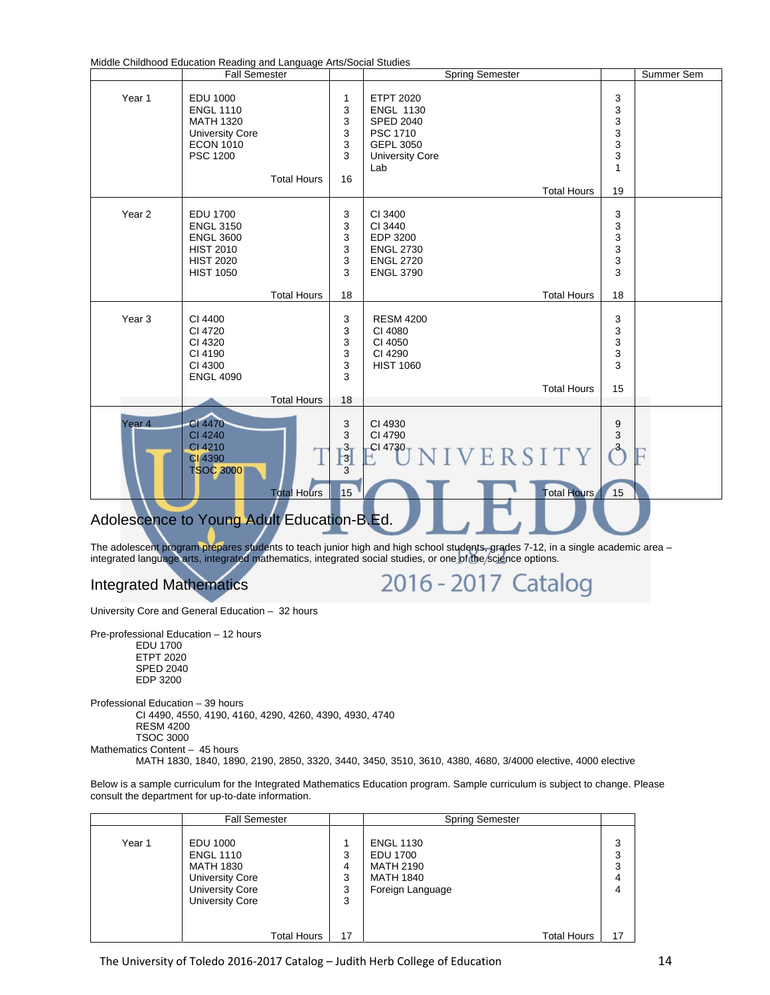Middle Childhood Education Reading and Language Arts/Social Studies

| Year 1<br>3<br><b>EDU 1000</b><br><b>ETPT 2020</b><br>1<br>3<br>3<br><b>ENGL 1110</b><br><b>ENGL 1130</b><br>3<br>3<br><b>MATH 1320</b><br><b>SPED 2040</b><br>3<br>3<br>PSC 1710<br><b>University Core</b><br>3<br>3<br><b>ECON 1010</b><br>GEPL 3050<br><b>PSC 1200</b><br>3<br>3<br><b>University Core</b><br>Lab<br>1<br><b>Total Hours</b><br>16<br><b>Total Hours</b><br>19<br>Year <sub>2</sub><br>3<br><b>EDU 1700</b><br>3<br>CI 3400<br>3<br>3<br><b>ENGL 3150</b><br>CI 3440<br>3<br>3<br><b>ENGL 3600</b><br>EDP 3200<br>3<br>3<br><b>HIST 2010</b><br><b>ENGL 2730</b><br>3<br>3<br><b>HIST 2020</b><br><b>ENGL 2720</b><br>3<br>3<br><b>HIST 1050</b><br><b>ENGL 3790</b> | Ladoanon Hodding and Language / Intel Social Stadioo<br><b>Fall Semester</b> | <b>Spring Semester</b> | Summer Sem |
|-----------------------------------------------------------------------------------------------------------------------------------------------------------------------------------------------------------------------------------------------------------------------------------------------------------------------------------------------------------------------------------------------------------------------------------------------------------------------------------------------------------------------------------------------------------------------------------------------------------------------------------------------------------------------------------------|------------------------------------------------------------------------------|------------------------|------------|
|                                                                                                                                                                                                                                                                                                                                                                                                                                                                                                                                                                                                                                                                                         |                                                                              |                        |            |
|                                                                                                                                                                                                                                                                                                                                                                                                                                                                                                                                                                                                                                                                                         |                                                                              |                        |            |
| <b>Total Hours</b><br>18<br>Total Hours<br>18<br>Year <sub>3</sub><br>3<br>CI 4400<br>3<br><b>RESM 4200</b><br>3<br>3<br>CI 4720<br>CI 4080<br>3<br>3<br>CI 4050<br>CI 4320<br>3<br>3<br>CI 4190<br>CI 4290<br>3<br><b>HIST 1060</b><br>3<br>CI 4300<br>3<br><b>ENGL 4090</b><br><b>Total Hours</b><br>15<br><b>Total Hours</b><br>18                                                                                                                                                                                                                                                                                                                                                   |                                                                              |                        |            |
| <b>CI 4470</b><br>Year <sub>4</sub><br>3<br>CI 4930<br>9<br>3<br>$\ensuremath{\mathsf{3}}$<br>CI 4240<br>CI 4790<br>CI 4210<br>$\frac{3}{3}$<br>CI 4730<br>a<br>NIVERSITY<br>CI 4390<br>$\overline{3}$<br>TSOC 3000<br>15<br><b>Total Hours</b><br>15<br><b>Total Hours</b><br>Adolescence to Young Adult Education-B.Ed.                                                                                                                                                                                                                                                                                                                                                               |                                                                              |                        |            |

The adolescent program prepares students to teach junior high and high school students, grades 7-12, in a single academic area – integrated language arts, integrated mathematics, integrated social studies, or one of the science options.

2016 - 2017 Catalog

Integrated Mathematics

University Core and General Education – 32 hours

Pre-professional Education – 12 hours EDU 1700 ETPT 2020 SPED 2040 EDP 3200

Professional Education – 39 hours CI 4490, 4550, 4190, 4160, 4290, 4260, 4390, 4930, 4740 RESM 4200 TSOC 3000 Mathematics Content – 45 hours

MATH 1830, 1840, 1890, 2190, 2850, 3320, 3440, 3450, 3510, 3610, 4380, 4680, 3/4000 elective, 4000 elective

Below is a sample curriculum for the Integrated Mathematics Education program. Sample curriculum is subject to change. Please consult the department for up-to-date information.

|        | <b>Fall Semester</b>                                                                                                                                 |                             | <b>Spring Semester</b>                                                                                                |                             |
|--------|------------------------------------------------------------------------------------------------------------------------------------------------------|-----------------------------|-----------------------------------------------------------------------------------------------------------------------|-----------------------------|
| Year 1 | EDU 1000<br><b>ENGL 1110</b><br><b>MATH 1830</b><br><b>University Core</b><br><b>University Core</b><br><b>University Core</b><br><b>Total Hours</b> | 3<br>4<br>3<br>3<br>3<br>17 | <b>ENGL 1130</b><br><b>EDU 1700</b><br><b>MATH 2190</b><br><b>MATH 1840</b><br>Foreign Language<br><b>Total Hours</b> | 3<br>3<br>3<br>4<br>4<br>17 |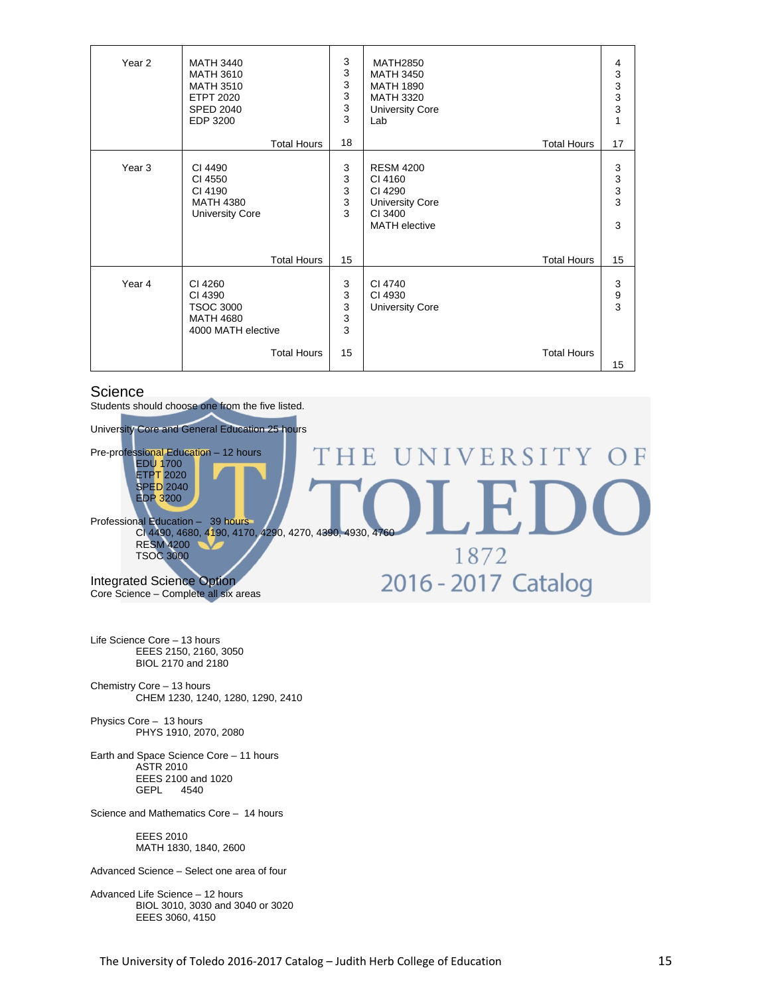| Year <sub>2</sub> | <b>MATH 3440</b><br><b>MATH 3610</b><br><b>MATH 3510</b><br><b>ETPT 2020</b><br><b>SPED 2040</b><br>EDP 3200 | 3<br>3<br>3<br>3<br>3<br>3      | <b>MATH2850</b><br><b>MATH 3450</b><br><b>MATH 1890</b><br><b>MATH 3320</b><br><b>University Core</b><br>Lab | 4<br>$\begin{array}{c} 3 \\ 3 \\ 3 \end{array}$<br>$\overline{1}$ |
|-------------------|--------------------------------------------------------------------------------------------------------------|---------------------------------|--------------------------------------------------------------------------------------------------------------|-------------------------------------------------------------------|
|                   | <b>Total Hours</b>                                                                                           | 18                              | <b>Total Hours</b>                                                                                           | 17                                                                |
| Year <sub>3</sub> | CI 4490<br>CI 4550<br>CI 4190<br><b>MATH 4380</b><br><b>University Core</b>                                  | 3<br>$\mathsf 3$<br>3<br>3<br>3 | <b>RESM 4200</b><br>CI 4160<br>CI 4290<br><b>University Core</b><br>CI 3400<br><b>MATH</b> elective          | 3<br>$\begin{array}{c} 3 \\ 3 \\ 3 \end{array}$<br>3              |
|                   | <b>Total Hours</b>                                                                                           | 15                              | <b>Total Hours</b>                                                                                           | 15                                                                |
| Year 4            | CI 4260<br>CI 4390<br><b>TSOC 3000</b><br><b>MATH 4680</b><br>4000 MATH elective                             | 3<br>3<br>$\sqrt{3}$<br>3<br>3  | CI 4740<br>CI 4930<br><b>University Core</b>                                                                 | 3<br>$\frac{9}{3}$                                                |
|                   | <b>Total Hours</b>                                                                                           | 15                              | <b>Total Hours</b>                                                                                           | 15                                                                |

#### **Science**

Students should choose one from the five listed.



Life Science Core – 13 hours EEES 2150, 2160, 3050 BIOL 2170 and 2180

- Chemistry Core 13 hours CHEM 1230, 1240, 1280, 1290, 2410
- Physics Core 13 hours PHYS 1910, 2070, 2080

Earth and Space Science Core – 11 hours ASTR 2010 EEES 2100 and 1020<br>GEPL 4540 4540

Science and Mathematics Core – 14 hours

 EEES 2010 MATH 1830, 1840, 2600

Advanced Science – Select one area of four

Advanced Life Science – 12 hours BIOL 3010, 3030 and 3040 or 3020 EEES 3060, 4150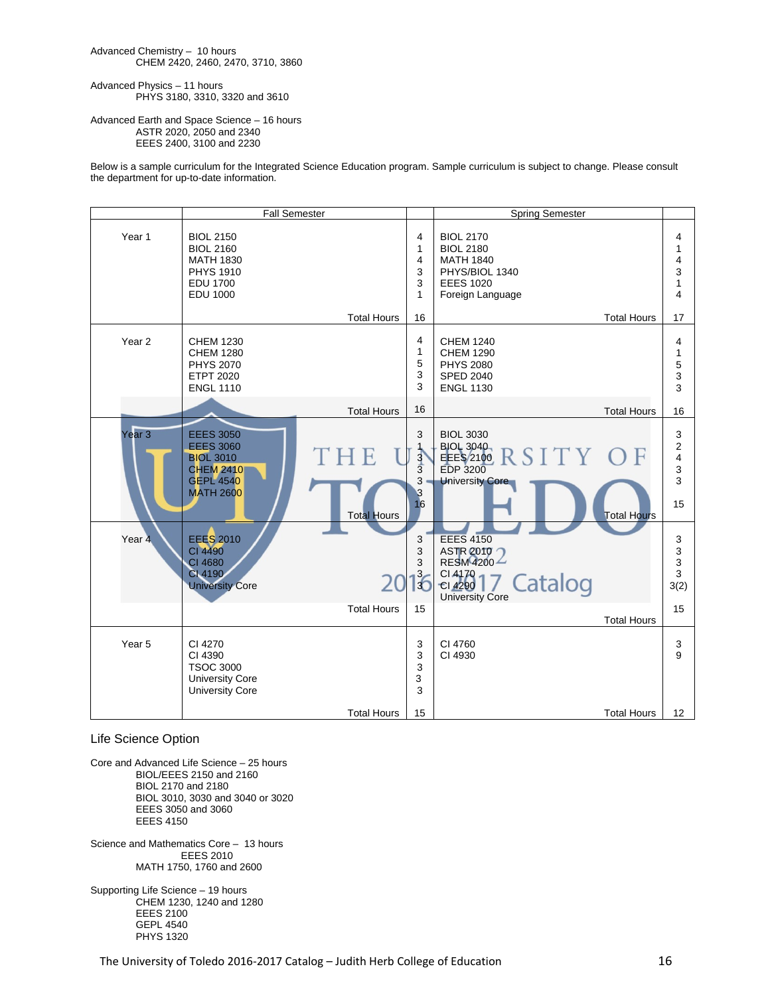#### Advanced Chemistry – 10 hours CHEM 2420, 2460, 2470, 3710, 3860

Advanced Physics – 11 hours PHYS 3180, 3310, 3320 and 3610

#### Advanced Earth and Space Science – 16 hours ASTR 2020, 2050 and 2340 EEES 2400, 3100 and 2230

Below is a sample curriculum for the Integrated Science Education program. Sample curriculum is subject to change. Please consult the department for up-to-date information.

|                   | <b>Fall Semester</b>                                                                                                                            |                                                                            | <b>Spring Semester</b>                                                                                                                    |                                                                |
|-------------------|-------------------------------------------------------------------------------------------------------------------------------------------------|----------------------------------------------------------------------------|-------------------------------------------------------------------------------------------------------------------------------------------|----------------------------------------------------------------|
| Year <sub>1</sub> | <b>BIOL 2150</b><br><b>BIOL 2160</b><br><b>MATH 1830</b><br><b>PHYS 1910</b><br><b>EDU 1700</b><br><b>EDU 1000</b>                              | $\overline{4}$<br>$\mathbf{1}$<br>$\overline{4}$<br>3<br>3<br>$\mathbf{1}$ | <b>BIOL 2170</b><br><b>BIOL 2180</b><br><b>MATH 1840</b><br>PHYS/BIOL 1340<br><b>EEES 1020</b><br>Foreign Language                        | 4<br>1<br>4<br>3<br>$\mathbf{1}$<br>4                          |
|                   | <b>Total Hours</b>                                                                                                                              | 16                                                                         | <b>Total Hours</b>                                                                                                                        | 17                                                             |
| Year <sub>2</sub> | <b>CHEM 1230</b><br><b>CHEM 1280</b><br><b>PHYS 2070</b><br><b>ETPT 2020</b><br><b>ENGL 1110</b>                                                | 4<br>$\mathbf{1}$<br>5<br>3<br>3                                           | <b>CHEM 1240</b><br><b>CHEM 1290</b><br><b>PHYS 2080</b><br><b>SPED 2040</b><br><b>ENGL 1130</b>                                          | 4<br>$\mathbf{1}$<br>5<br>3<br>3                               |
|                   | <b>Total Hours</b>                                                                                                                              | 16                                                                         | <b>Total Hours</b>                                                                                                                        | 16                                                             |
| Year 3            | <b>EEES 3050</b><br><b>EEES 3060</b><br>F<br><b>BIOL 3010</b><br><b>CHEM 2410</b><br><b>GEPL 4540</b><br><b>MATH 2600</b><br><b>Total Hours</b> | 3<br>$\frac{3}{3}$<br>3<br>$\boldsymbol{\beta}$<br>16                      | <b>BIOL 3030</b><br><b>BIOL 3040</b><br>SITY OF<br>EEES 2100<br><b>EDP 3200</b><br><b>University Core</b><br><b>Total Hours</b>           | 3<br>$\overline{c}$<br>$\overline{\mathbf{4}}$<br>3<br>3<br>15 |
| Year 4            | <b>EEES 2010</b><br><b>CI 4490</b><br>CI 4680<br>CI 4190<br><b>University Core</b><br><b>Total Hours</b>                                        | 3<br>3<br>3<br>$\overline{6}$<br>15                                        | <b>EEES 4150</b><br><b>ASTR 2010</b><br>RESM4200<br>$Cl$ 4170 $-$<br>7 Catalog<br>CI 4290<br><b>University Core</b><br><b>Total Hours</b> | 3<br>$\mathsf 3$<br>$\mathsf 3$<br>3<br>3(2)<br>15             |
| Year <sub>5</sub> | CI 4270<br>CI 4390<br><b>TSOC 3000</b><br><b>University Core</b><br><b>University Core</b><br><b>Total Hours</b>                                | 3<br>3<br>3<br>3<br>3<br>15                                                | CI 4760<br>CI 4930<br><b>Total Hours</b>                                                                                                  | 3<br>9<br>12                                                   |

#### Life Science Option

Core and Advanced Life Science – 25 hours BIOL/EEES 2150 and 2160 BIOL 2170 and 2180 BIOL 3010, 3030 and 3040 or 3020 EEES 3050 and 3060 EEES 4150

Science and Mathematics Core – 13 hours EEES 2010 MATH 1750, 1760 and 2600

Supporting Life Science – 19 hours CHEM 1230, 1240 and 1280 EEES 2100 GEPL 4540 PHYS 1320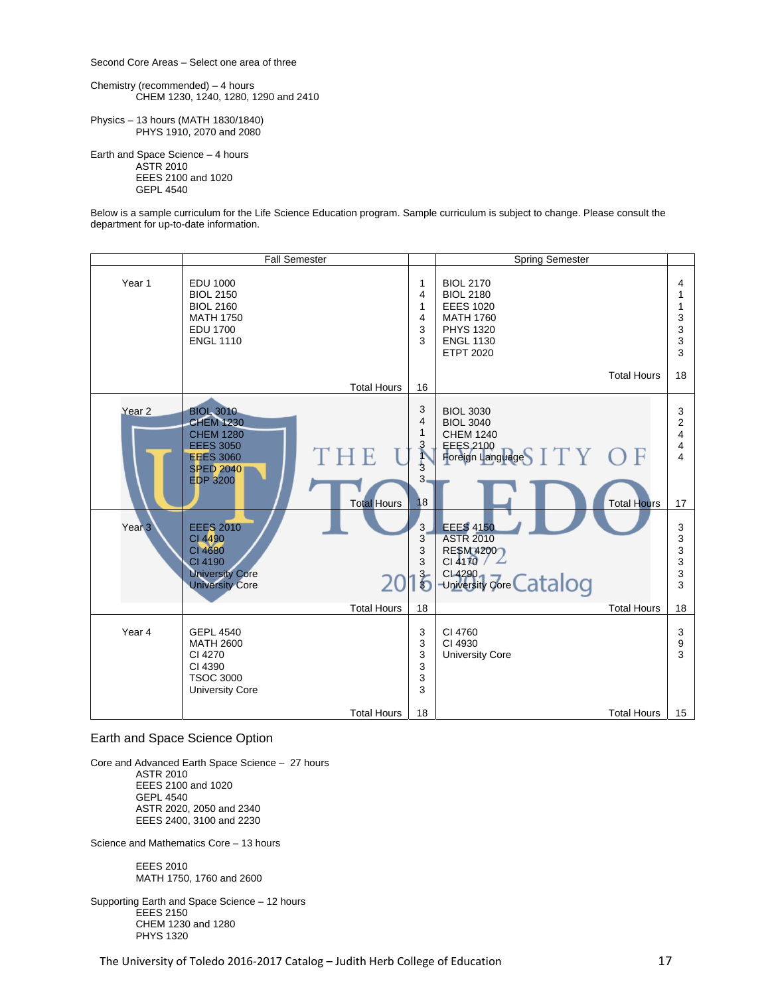Second Core Areas – Select one area of three

Chemistry (recommended) – 4 hours CHEM 1230, 1240, 1280, 1290 and 2410

Physics – 13 hours (MATH 1830/1840) PHYS 1910, 2070 and 2080

Earth and Space Science – 4 hours ASTR 2010 EEES 2100 and 1020 GEPL 4540

Below is a sample curriculum for the Life Science Education program. Sample curriculum is subject to change. Please consult the department for up-to-date information.



#### Earth and Space Science Option

Core and Advanced Earth Space Science – 27 hours ASTR 2010 EEES 2100 and 1020 GEPL 4540 ASTR 2020, 2050 and 2340 EEES 2400, 3100 and 2230

Science and Mathematics Core – 13 hours

 EEES 2010 MATH 1750, 1760 and 2600

Supporting Earth and Space Science – 12 hours EEES 2150 CHEM 1230 and 1280 PHYS 1320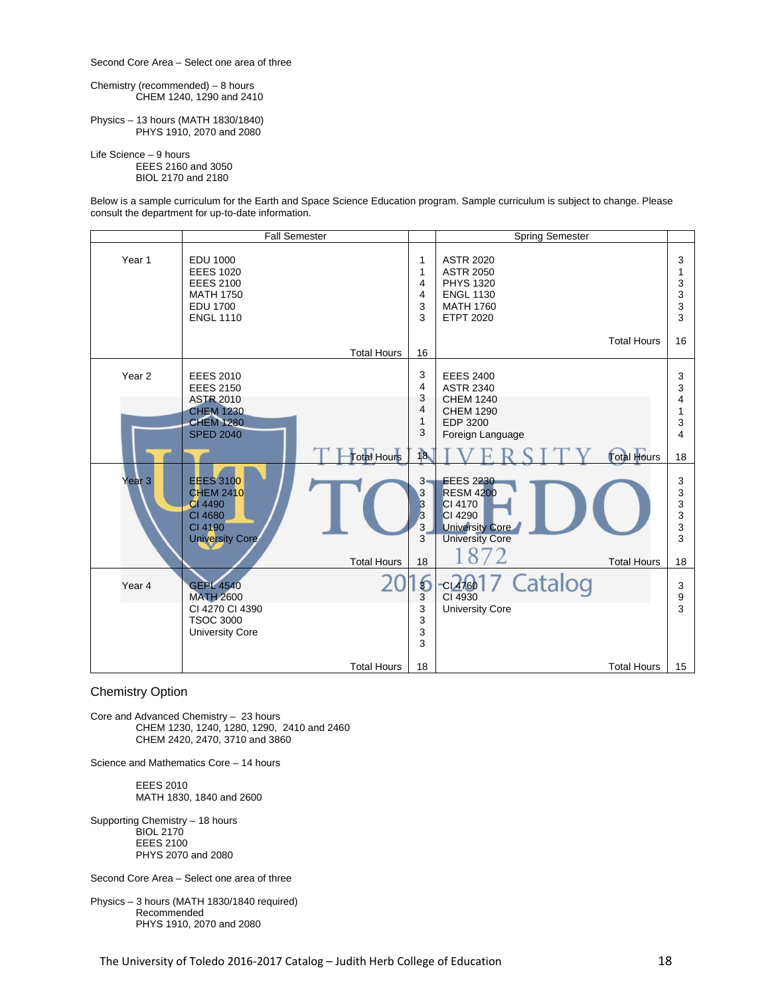Second Core Area – Select one area of three

Chemistry (recommended) – 8 hours CHEM 1240, 1290 and 2410

Physics – 13 hours (MATH 1830/1840) PHYS 1910, 2070 and 2080

Life Science – 9 hours

 EEES 2160 and 3050 BIOL 2170 and 2180

Below is a sample curriculum for the Earth and Space Science Education program. Sample curriculum is subject to change. Please consult the department for up-to-date information.



#### Chemistry Option

Core and Advanced Chemistry – 23 hours CHEM 1230, 1240, 1280, 1290, 2410 and 2460 CHEM 2420, 2470, 3710 and 3860

Science and Mathematics Core – 14 hours

 EEES 2010 MATH 1830, 1840 and 2600

Supporting Chemistry – 18 hours BIOL 2170 EEES 2100 PHYS 2070 and 2080

Second Core Area – Select one area of three

Physics – 3 hours (MATH 1830/1840 required) Recommended PHYS 1910, 2070 and 2080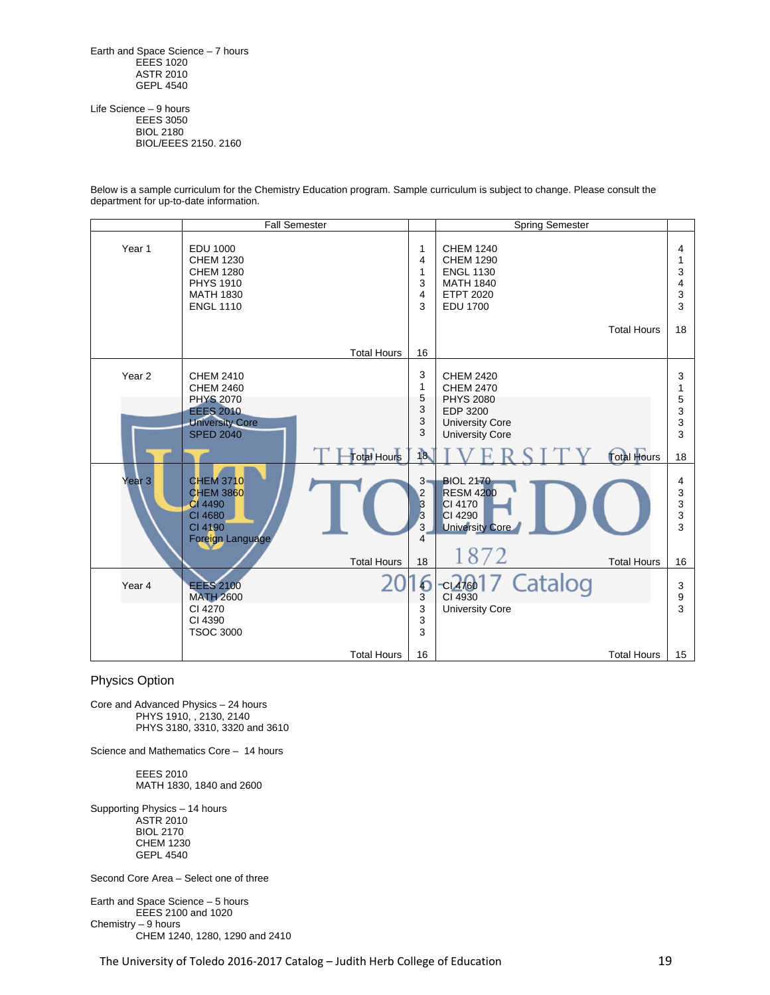Earth and Space Science – 7 hours **EEES 1020**  ASTR 2010 GEPL 4540

Life Science – 9 hours EEES 3050 BIOL 2180 BIOL/EEES 2150. 2160

|                   | <b>Fall Semester</b>                                                                                                       |                                            | <b>Spring Semester</b>                                                                                                   |                            |
|-------------------|----------------------------------------------------------------------------------------------------------------------------|--------------------------------------------|--------------------------------------------------------------------------------------------------------------------------|----------------------------|
| Year <sub>1</sub> | <b>EDU 1000</b><br><b>CHEM 1230</b><br><b>CHEM 1280</b><br><b>PHYS 1910</b><br><b>MATH 1830</b><br><b>ENGL 1110</b>        | 1<br>4<br>1<br>3<br>4<br>3                 | <b>CHEM 1240</b><br><b>CHEM 1290</b><br><b>ENGL 1130</b><br><b>MATH 1840</b><br><b>ETPT 2020</b><br><b>EDU 1700</b>      | 4<br>1<br>3<br>4<br>3<br>3 |
|                   |                                                                                                                            |                                            | <b>Total Hours</b>                                                                                                       | 18                         |
|                   |                                                                                                                            | <b>Total Hours</b><br>16                   |                                                                                                                          |                            |
| Year <sub>2</sub> | <b>CHEM 2410</b><br><b>CHEM 2460</b><br><b>PHYS 2070</b><br><b>EEES 2010</b><br><b>University Core</b><br><b>SPED 2040</b> | 3<br>1<br>5<br>3<br>3<br>3                 | <b>CHEM 2420</b><br><b>CHEM 2470</b><br><b>PHYS 2080</b><br>EDP 3200<br><b>University Core</b><br><b>University Core</b> | 3<br>1<br>5<br>3<br>3<br>3 |
|                   |                                                                                                                            | <b>Total Hours</b><br>18                   | <b>Total Hours</b>                                                                                                       | 18                         |
| Year <sub>3</sub> | <b>CHEM 3710</b><br><b>CHEM 3860</b><br>CI 4490<br>CI 4680<br>CI 4190<br>Foreign Language                                  | $3-$<br>$\overline{c}$<br>3<br>3<br>3<br>4 | <b>BIOL 2170</b><br><b>RESM 4200</b><br>CI 4170<br>CI 4290<br><b>University Core</b>                                     | 4<br>3<br>3<br>3<br>3      |
|                   |                                                                                                                            | <b>Total Hours</b><br>18                   | 1872<br><b>Total Hours</b>                                                                                               | 16                         |
| Year 4            | <b>EEES 2100</b><br><b>MATH 2600</b>                                                                                       | 6<br>3                                     | Catalog<br>CI 4760<br>CI 4930                                                                                            | 3<br>9                     |
|                   | CI 4270<br>CI 4390<br><b>TSOC 3000</b>                                                                                     | 3<br>3<br>3                                | <b>University Core</b>                                                                                                   | 3                          |
|                   |                                                                                                                            | <b>Total Hours</b><br>16                   | <b>Total Hours</b>                                                                                                       | 15                         |

Below is a sample curriculum for the Chemistry Education program. Sample curriculum is subject to change. Please consult the department for up-to-date information.

Physics Option

Core and Advanced Physics – 24 hours PHYS 1910, , 2130, 2140 PHYS 3180, 3310, 3320 and 3610

Science and Mathematics Core – 14 hours

 EEES 2010 MATH 1830, 1840 and 2600

Supporting Physics – 14 hours ASTR 2010 BIOL 2170 CHEM 1230 GEPL 4540

Second Core Area – Select one of three

Earth and Space Science – 5 hours EEES 2100 and 1020 Chemistry – 9 hours CHEM 1240, 1280, 1290 and 2410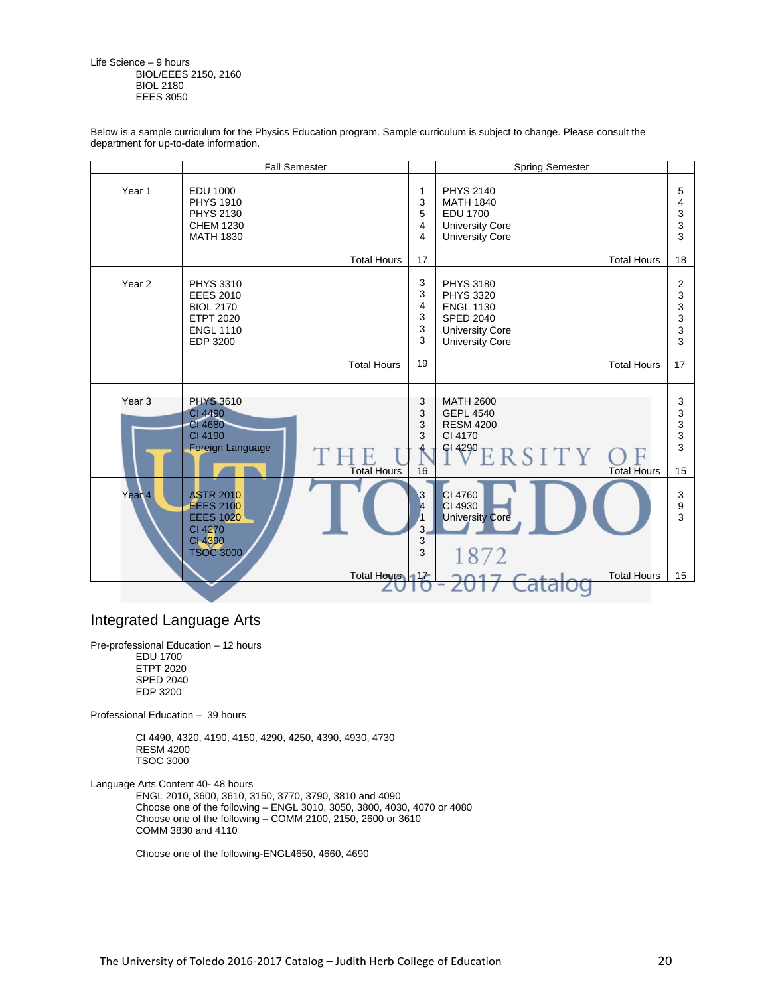Life Science – 9 hours BIOL/EEES 2150, 2160 BIOL 2180 EEES 3050

Below is a sample curriculum for the Physics Education program. Sample curriculum is subject to change. Please consult the department for up-to-date information.

|                   | <b>Fall Semester</b>                                                                                         |                                    | <b>Spring Semester</b>                                                                                                           |                             |
|-------------------|--------------------------------------------------------------------------------------------------------------|------------------------------------|----------------------------------------------------------------------------------------------------------------------------------|-----------------------------|
| Year <sub>1</sub> | <b>EDU 1000</b><br><b>PHYS 1910</b><br><b>PHYS 2130</b><br><b>CHEM 1230</b><br><b>MATH 1830</b>              | 1<br>3<br>5<br>$\overline{4}$<br>4 | <b>PHYS 2140</b><br><b>MATH 1840</b><br><b>EDU 1700</b><br><b>University Core</b><br><b>University Core</b>                      | 5<br>4<br>3<br>3<br>3       |
|                   | <b>Total Hours</b>                                                                                           | 17                                 | <b>Total Hours</b>                                                                                                               | 18                          |
| Year <sub>2</sub> | <b>PHYS 3310</b><br><b>EEES 2010</b><br><b>BIOL 2170</b><br><b>ETPT 2020</b><br><b>ENGL 1110</b><br>EDP 3200 | 3<br>3<br>4<br>3<br>3<br>3         | <b>PHYS 3180</b><br><b>PHYS 3320</b><br><b>ENGL 1130</b><br><b>SPED 2040</b><br><b>University Core</b><br><b>University Core</b> | 2<br>3<br>3<br>3<br>3<br>3  |
|                   | <b>Total Hours</b>                                                                                           | 19                                 | <b>Total Hours</b>                                                                                                               | 17                          |
| Year <sub>3</sub> | <b>PHYS 3610</b><br>CI 4490<br>CI 4680<br>CI 4190<br>Foreign Language<br><b>Total Hours</b>                  | 3<br>3<br>3<br>3<br>16             | <b>MATH 2600</b><br><b>GEPL 4540</b><br><b>RESM 4200</b><br>CI 4170<br>$f$ <sup>4290</sup> $E$ RSITY<br><b>Total Hours</b>       | 3<br>3<br>3<br>3<br>3<br>15 |
| Year <sub>4</sub> | <b>ASTR 2010</b><br><b>EEES 2100</b><br><b>EEES 1020</b><br>CI 4270<br>CI 4390<br><b>TSOC 3000</b>           | 3<br>l4<br>3.<br>3<br>3            | CI 4760<br>CI 4930<br><b>University Core</b><br>1872                                                                             | 3<br>9<br>3                 |
|                   | Total Hours 117                                                                                              |                                    | <b>Total Hours</b>                                                                                                               | 15                          |

### Integrated Language Arts

Pre-professional Education – 12 hours EDU 1700 ETPT 2020 SPED 2040 EDP 3200

Professional Education – 39 hours

 CI 4490, 4320, 4190, 4150, 4290, 4250, 4390, 4930, 4730 RESM 4200 TSOC 3000

Language Arts Content 40- 48 hours

 ENGL 2010, 3600, 3610, 3150, 3770, 3790, 3810 and 4090 Choose one of the following – ENGL 3010, 3050, 3800, 4030, 4070 or 4080 Choose one of the following – COMM 2100, 2150, 2600 or 3610 COMM 3830 and 4110

Choose one of the following-ENGL4650, 4660, 4690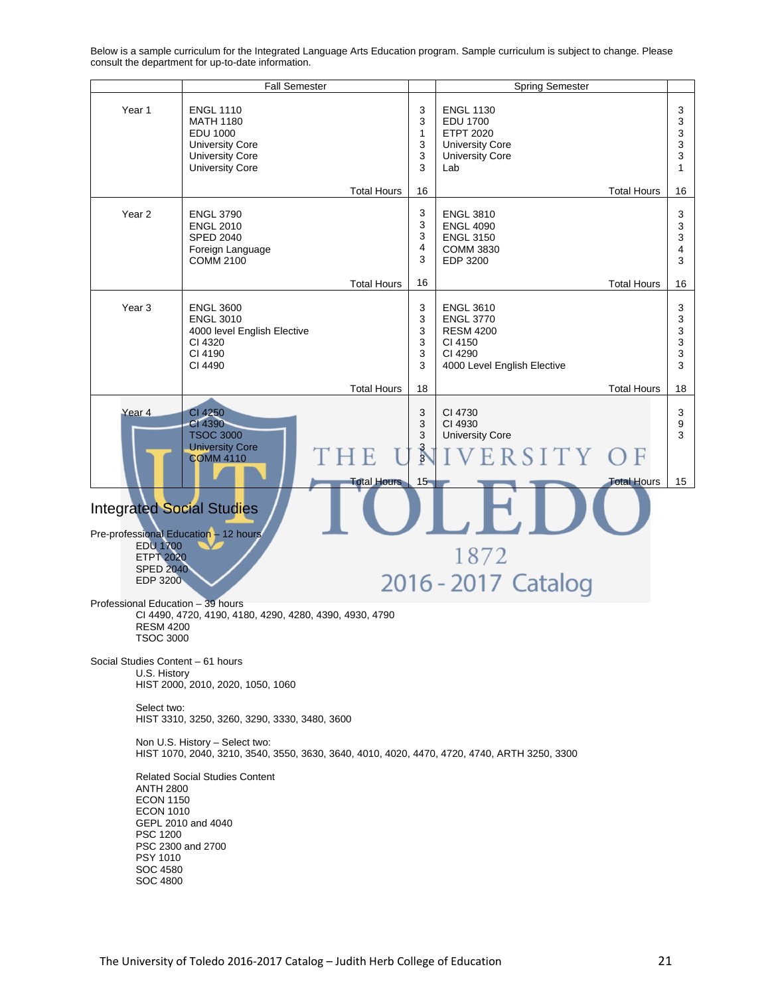Fall Semester **Spring Semester** Spring Semester Year 1 ENGL 1110 3 ENGL 1130 3 EDU 1700 MATH 1180 3 3 EDU 1000 ETPT 2020 3 1 University Core 3 University Core 3 University Core 3 University Core 3 University Core 3 Lab 1 16 Total Hours Total Hours 16 3 Year 2 | ENGL 3790 ENGL 3810 3 ENGL 2010 3 ENGL 4090 3 3 SPED 2040 ENGL 3150 3 4 COMM 3830 4 Foreign Language 3 3 COMM 2100 EDP 3200 16 Total Hours Total Hours 16 Year 3 | ENGL 3600 3 ENGL 3610 3 ENGL 3010 ENGL 3770 3 3 4000 level English Elective 3 RESM 4200 3 CI 4320 3 CI 4150 3 CI 4190 3 3 CI 4290 CI 4490 3 4000 Level English Elective 3 Total Hours 18 Total Hours 18 Year 4 CI 4250 3 CI 4730 3 CI 4390 3 CI 4930 9 TSOC 3000 3 University Core 3 University Core 3 H E ERSITY  $\bigcirc$  F COMM 4110 3 15 **Total Hours** 15 Total Hours Integrated Social Studies Pre-professional Education - 12 hours EDU 1700 1872 ETPT 2020 SPED 2040 2016 - 2017 Catalog EDP 3200 Professional Education – 39 hours CI 4490, 4720, 4190, 4180, 4290, 4280, 4390, 4930, 4790 RESM 4200 TSOC 3000 Social Studies Content – 61 hours U.S. History HIST 2000, 2010, 2020, 1050, 1060 Select two: HIST 3310, 3250, 3260, 3290, 3330, 3480, 3600 Non U.S. History – Select two: HIST 1070, 2040, 3210, 3540, 3550, 3630, 3640, 4010, 4020, 4470, 4720, 4740, ARTH 3250, 3300 Related Social Studies Content ANTH 2800 ECON 1150 ECON 1010 GEPL 2010 and 4040 PSC 1200 PSC 2300 and 2700 PSY 1010 SOC 4580 SOC 4800

Below is a sample curriculum for the Integrated Language Arts Education program. Sample curriculum is subject to change. Please consult the department for up-to-date information.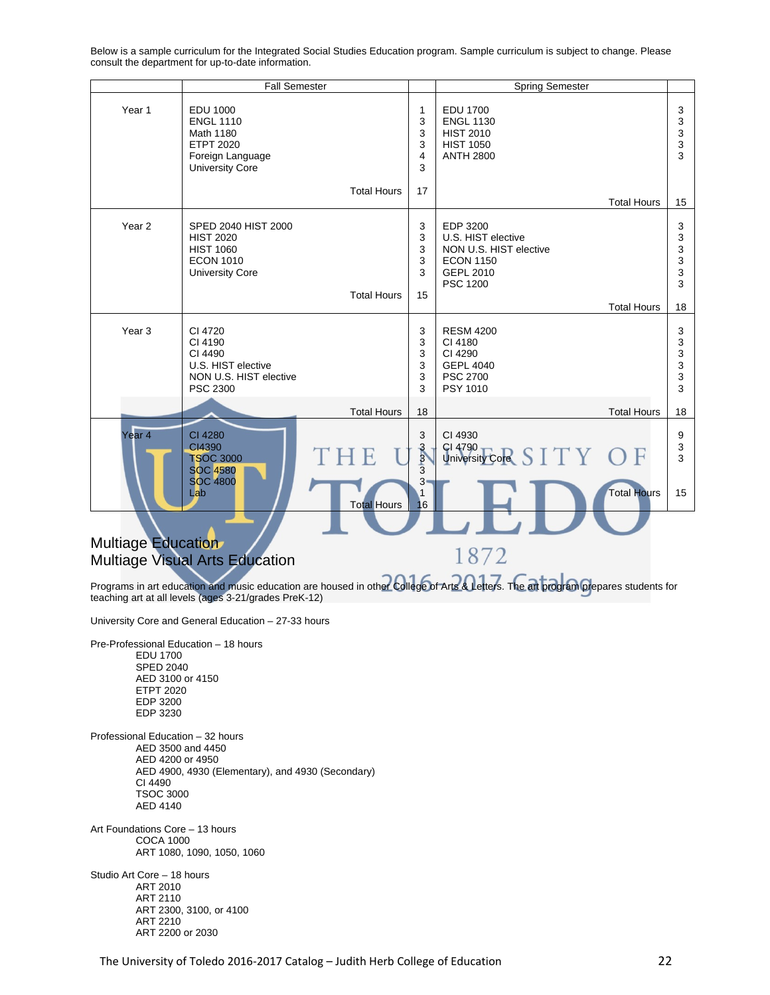Fall Semester **Spring Semester** Spring Semester Year 1 EDU 1000 EDU 1700 3 1 ENGL 1110 3 ENGL 1130 3 Math 1180 3 HIST 2010 3 ETPT 2020 3 HIST 1050 3 ANTH 2800 Foreign Language 4 3 3 University Core 17 Total Hours Total Hours 15 Year 2 | SPED 2040 HIST 2000 3 EDP 3200 3 HIST 2020 3 U.S. HIST elective 3 HIST 1060 3 NON U.S. HIST elective 3 ECON 1010 3 3 ECON 1150 3 GEPL 2010 3 University Core PSC 1200 3 Total Hours 15 Total Hours 18 Year 3 CI 4720 RESM 4200 3 3 CI 4190 3 CI 4180 3 CI 4490 3 CI 4290 3 GEPL 4040 3 U.S. HIST elective 3 NON U.S. HIST elective 3 PSC 2700 3 PSC 2300 3 PSY 1010 3 Total Hours 18 Total Hours 18 Year 4 CI 4280 3 CI 4930 9 CI4390 CI 4790 3 3  $IT$ F TSOC 3000 University Core 3 3 SOC 4580 3 3 SOC 4800 Total Hours Lab 15 1 Total Hours 16 Multiage Education 1872 Multiage Visual Arts Education Programs in art education and music education are housed in other College of Arts & Letters. The art program prepares students for teaching art at all levels (ages 3-21/grades PreK-12) University Core and General Education – 27-33 hours Pre-Professional Education – 18 hours EDU 1700 SPED 2040 AED 3100 or 4150

Below is a sample curriculum for the Integrated Social Studies Education program. Sample curriculum is subject to change. Please consult the department for up-to-date information.

 ETPT 2020 EDP 3200 EDP 3230 Professional Education – 32 hours AED 3500 and 4450 AED 4200 or 4950 AED 4900, 4930 (Elementary), and 4930 (Secondary) CI 4490

Art Foundations Core – 13 hours COCA 1000 ART 1080, 1090, 1050, 1060

 TSOC 3000 AED 4140

Studio Art Core – 18 hours ART 2010 ART 2110 ART 2300, 3100, or 4100 ART 2210 ART 2200 or 2030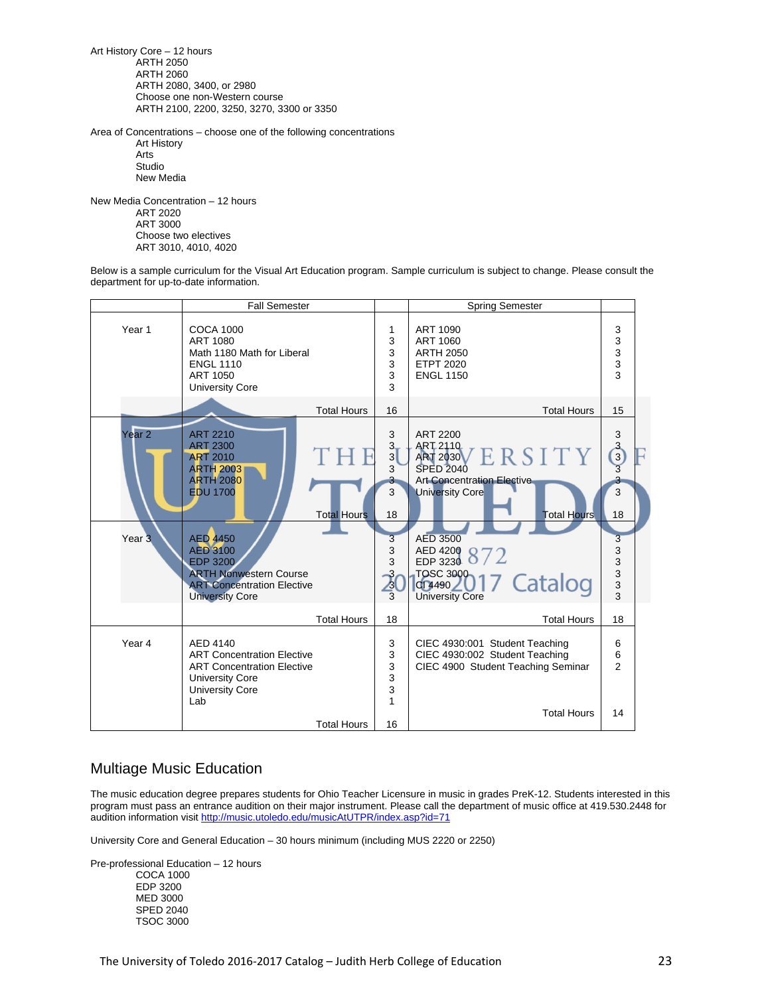Art History Core – 12 hours ARTH 2050 ARTH 2060 ARTH 2080, 3400, or 2980 Choose one non-Western course ARTH 2100, 2200, 3250, 3270, 3300 or 3350

Area of Concentrations – choose one of the following concentrations Art History Arts Studio

New Media

New Media Concentration – 12 hours ART 2020 ART 3000 Choose two electives ART 3010, 4010, 4020

Below is a sample curriculum for the Visual Art Education program. Sample curriculum is subject to change. Please consult the department for up-to-date information.



### Multiage Music Education

The music education degree prepares students for Ohio Teacher Licensure in music in grades PreK-12. Students interested in this program must pass an entrance audition on their major instrument. Please call the department of music office at 419.530.2448 for audition information visit http://music.utoledo.edu/musicAtUTPR/index.asp?id=71

University Core and General Education – 30 hours minimum (including MUS 2220 or 2250)

Pre-professional Education – 12 hours COCA 1000 EDP 3200 MED 3000 SPED 2040 TSOC 3000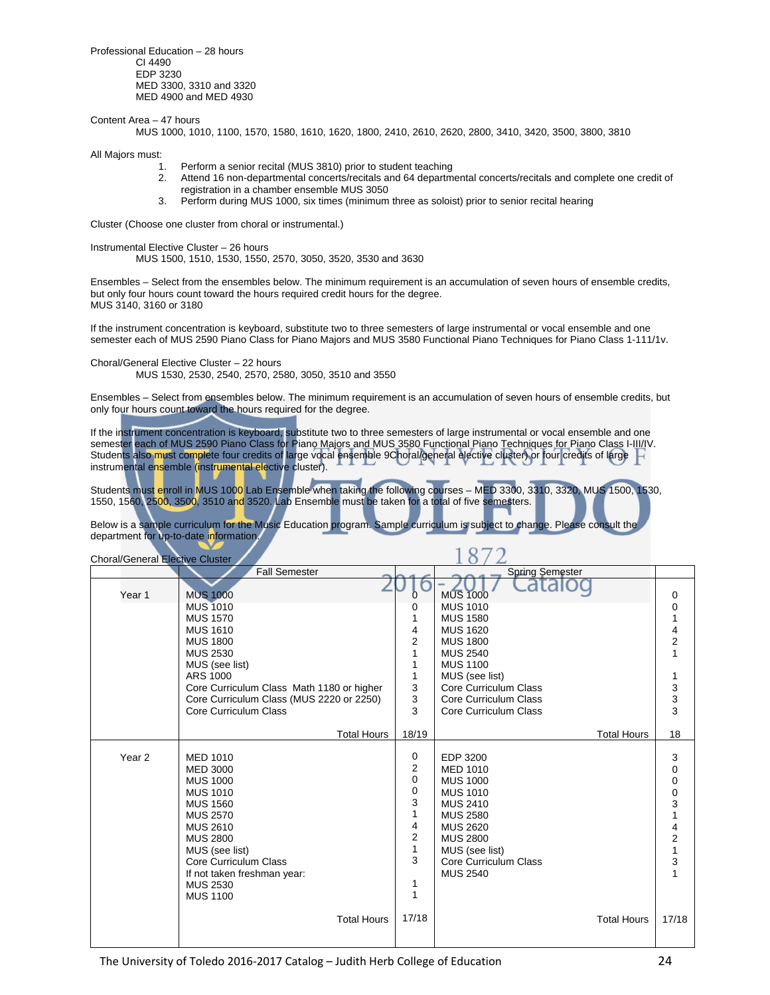Professional Education – 28 hours CI 4490 EDP 3230 MED 3300, 3310 and 3320 MED 4900 and MED 4930

Content Area – 47 hours

MUS 1000, 1010, 1100, 1570, 1580, 1610, 1620, 1800, 2410, 2610, 2620, 2800, 3410, 3420, 3500, 3800, 3810

All Majors must:

- 1. Perform a senior recital (MUS 3810) prior to student teaching
- 2. Attend 16 non-departmental concerts/recitals and 64 departmental concerts/recitals and complete one credit of registration in a chamber ensemble MUS 3050
- 3. Perform during MUS 1000, six times (minimum three as soloist) prior to senior recital hearing

Cluster (Choose one cluster from choral or instrumental.)

Instrumental Elective Cluster – 26 hours

MUS 1500, 1510, 1530, 1550, 2570, 3050, 3520, 3530 and 3630

Ensembles – Select from the ensembles below. The minimum requirement is an accumulation of seven hours of ensemble credits, but only four hours count toward the hours required credit hours for the degree. MUS 3140, 3160 or 3180

If the instrument concentration is keyboard, substitute two to three semesters of large instrumental or vocal ensemble and one semester each of MUS 2590 Piano Class for Piano Majors and MUS 3580 Functional Piano Techniques for Piano Class 1-111/1v.

Choral/General Elective Cluster – 22 hours

MUS 1530, 2530, 2540, 2570, 2580, 3050, 3510 and 3550

Ensembles – Select from ensembles below. The minimum requirement is an accumulation of seven hours of ensemble credits, but only four hours count toward the hours required for the degree.

If the instrument concentration is keyboard, substitute two to three semesters of large instrumental or vocal ensemble and one semester each of MUS 2590 Piano Class for Piano Majors and MUS 3580 Functional Piano Techniques for Piano Class I-III/IV. Students also must complete four credits of large vocal ensemble 9Choral/general elective cluster) or four credits of large instrumental ensemble (instrumental elective cluster).

Students must enroll in MUS 1000 Lab Ensemble when taking the following courses – MED 3300, 3310, 3320, MUS 1500, 1530, 1550, 1560, 2500, 3500, 3510 and 3520. Lab Ensemble must be taken for a total of five semesters.

 $1070$ 

Below is a sample curriculum for the Music Education program. Sample curriculum is subject to change. Please consult the department for up-to-date information.

| <b>Choral/General Elective Cluster</b> |                                           |                         |                        |                                            |
|----------------------------------------|-------------------------------------------|-------------------------|------------------------|--------------------------------------------|
|                                        | <b>Fall Semester</b>                      |                         | <b>Spring Semester</b> |                                            |
| Year <sub>1</sub>                      | <b>MUS 1000</b>                           | 0                       | ala<br><b>MUS 1000</b> | 0                                          |
|                                        | <b>MUS 1010</b>                           | 0                       | <b>MUS 1010</b>        | 0                                          |
|                                        | <b>MUS 1570</b>                           | 1                       | <b>MUS 1580</b>        | 1                                          |
|                                        | <b>MUS 1610</b>                           | 4                       | <b>MUS 1620</b>        |                                            |
|                                        | <b>MUS 1800</b>                           | $\overline{2}$          | <b>MUS 1800</b>        | $\frac{4}{2}$                              |
|                                        | <b>MUS 2530</b>                           | 1                       | <b>MUS 2540</b>        | $\mathbf{1}$                               |
|                                        | MUS (see list)                            | 1                       | <b>MUS 1100</b>        |                                            |
|                                        | ARS 1000                                  | 1                       | MUS (see list)         |                                            |
|                                        | Core Curriculum Class Math 1180 or higher | 3                       | Core Curriculum Class  |                                            |
|                                        | Core Curriculum Class (MUS 2220 or 2250)  | 3                       | Core Curriculum Class  | $\begin{array}{c} 3 \\ 3 \\ 3 \end{array}$ |
|                                        | Core Curriculum Class                     | 3                       | Core Curriculum Class  |                                            |
|                                        |                                           |                         |                        |                                            |
|                                        | <b>Total Hours</b>                        | 18/19                   | <b>Total Hours</b>     | 18                                         |
|                                        |                                           |                         |                        |                                            |
| Year <sub>2</sub>                      | <b>MED 1010</b>                           | 0                       | EDP 3200               | 3                                          |
|                                        | <b>MED 3000</b>                           | 2                       | <b>MED 1010</b>        | 0                                          |
|                                        | <b>MUS 1000</b>                           | $\mathbf 0$             | <b>MUS 1000</b>        | 0                                          |
|                                        | <b>MUS 1010</b>                           | 0                       | <b>MUS 1010</b>        | $\begin{array}{c} 0 \\ 3 \end{array}$      |
|                                        | <b>MUS 1560</b>                           | 3                       | <b>MUS 2410</b>        |                                            |
|                                        | <b>MUS 2570</b>                           | $\mathbf{1}$            | <b>MUS 2580</b>        | $\mathbf{1}$                               |
|                                        | <b>MUS 2610</b>                           | 4                       | <b>MUS 2620</b>        | $\frac{4}{2}$                              |
|                                        | <b>MUS 2800</b>                           | $\overline{\mathbf{c}}$ | <b>MUS 2800</b>        |                                            |
|                                        | MUS (see list)                            | $\mathbf{1}$            | MUS (see list)         | $\mathbf{1}$                               |
|                                        | Core Curriculum Class                     | 3                       | Core Curriculum Class  | 3                                          |
|                                        | If not taken freshman year:               |                         | <b>MUS 2540</b>        |                                            |
|                                        | <b>MUS 2530</b>                           | 1<br>1                  |                        |                                            |
|                                        | <b>MUS 1100</b>                           |                         |                        |                                            |
|                                        | <b>Total Hours</b>                        | 17/18                   | <b>Total Hours</b>     | 17/18                                      |
|                                        |                                           |                         |                        |                                            |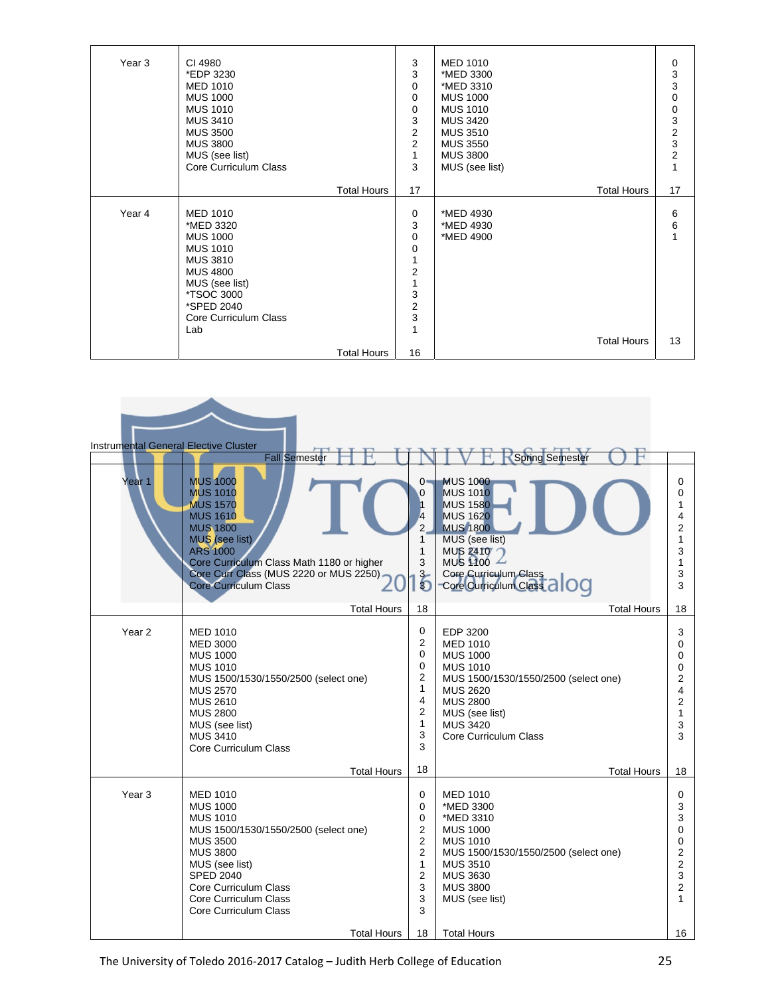| Year <sub>3</sub> | CI 4980<br>*EDP 3230<br><b>MED 1010</b><br><b>MUS 1000</b><br><b>MUS 1010</b><br><b>MUS 3410</b><br><b>MUS 3500</b><br><b>MUS 3800</b><br>MUS (see list)<br>Core Curriculum Class                    | 3<br>3<br>0<br>0<br>0<br>3<br>$\overline{c}$<br>$\overline{2}$<br>$\mathbf{1}$<br>3                     | <b>MED 1010</b><br>*MED 3300<br>*MED 3310<br><b>MUS 1000</b><br><b>MUS 1010</b><br><b>MUS 3420</b><br><b>MUS 3510</b><br><b>MUS 3550</b><br><b>MUS 3800</b><br>MUS (see list) | 0<br>$\frac{3}{3}$<br>0<br>$\begin{matrix}0\\3\end{matrix}$<br>$\frac{2}{3}$<br>$\overline{c}$ |
|-------------------|------------------------------------------------------------------------------------------------------------------------------------------------------------------------------------------------------|---------------------------------------------------------------------------------------------------------|-------------------------------------------------------------------------------------------------------------------------------------------------------------------------------|------------------------------------------------------------------------------------------------|
|                   | <b>Total Hours</b>                                                                                                                                                                                   | 17                                                                                                      | <b>Total Hours</b>                                                                                                                                                            | 17                                                                                             |
| Year 4            | <b>MED 1010</b><br>*MED 3320<br><b>MUS 1000</b><br><b>MUS 1010</b><br><b>MUS 3810</b><br><b>MUS 4800</b><br>MUS (see list)<br><i><b>*TSOC 3000</b></i><br>*SPED 2040<br>Core Curriculum Class<br>Lab | 0<br>3<br>0<br>0<br>1<br>$\overline{c}$<br>$\overline{1}$<br>3<br>$\overline{c}$<br>3<br>$\overline{1}$ | *MED 4930<br>*MED 4930<br>*MED 4900<br><b>Total Hours</b>                                                                                                                     | 6<br>6<br>13                                                                                   |
|                   | <b>Total Hours</b>                                                                                                                                                                                   | 16                                                                                                      |                                                                                                                                                                               |                                                                                                |

| <b>Instrumental General Elective Cluster</b> |                                                                                                                                                                                                                                                         |                                                                                            |                                                                                                                                                                                                               |                                                                          |
|----------------------------------------------|---------------------------------------------------------------------------------------------------------------------------------------------------------------------------------------------------------------------------------------------------------|--------------------------------------------------------------------------------------------|---------------------------------------------------------------------------------------------------------------------------------------------------------------------------------------------------------------|--------------------------------------------------------------------------|
|                                              | <b>Fall Semester</b>                                                                                                                                                                                                                                    |                                                                                            | <b>Spring Semester</b>                                                                                                                                                                                        |                                                                          |
| Year 1                                       | <b>MUS 1000</b><br><b>MUS 1010</b><br><b>MUS 1570</b><br><b>MUS 1610</b><br><b>MUS 1800</b><br>MUS (see list)<br><b>ARS 1000</b><br>Core Curriculum Class Math 1180 or higher<br>Core Curr Class (MUS 2220 or MUS 2250)<br><b>Core Curriculum Class</b> | $0 -$<br>0<br>4<br>$\overline{2}$<br>1<br>1<br>3<br>$\overline{6}$                         | <b>MUS 1000</b><br><b>MUS 1010</b><br><b>MUS 1580</b><br><b>MUS 1620</b><br><b>MUS 1800</b><br>MUS (see list)<br>MUS 2410<br>MUS $100 -$<br>Core Curriculum Class<br>Core Curriculum Class al OC              | 0<br>0<br>4<br>2<br>1<br>3<br>1<br>3<br>3                                |
|                                              | <b>Total Hours</b>                                                                                                                                                                                                                                      | 18                                                                                         | <b>Total Hours</b>                                                                                                                                                                                            | 18                                                                       |
| Year <sub>2</sub>                            | <b>MED 1010</b><br><b>MED 3000</b><br><b>MUS 1000</b><br><b>MUS 1010</b><br>MUS 1500/1530/1550/2500 (select one)<br><b>MUS 2570</b><br><b>MUS 2610</b><br><b>MUS 2800</b><br>MUS (see list)<br><b>MUS 3410</b><br>Core Curriculum Class                 | 0<br>2<br>0<br>0<br>2<br>1<br>4<br>2<br>$\mathbf{1}$<br>3<br>3                             | EDP 3200<br><b>MED 1010</b><br><b>MUS 1000</b><br><b>MUS 1010</b><br>MUS 1500/1530/1550/2500 (select one)<br><b>MUS 2620</b><br><b>MUS 2800</b><br>MUS (see list)<br><b>MUS 3420</b><br>Core Curriculum Class | 3<br>0<br>0<br>0<br>2<br>4<br>2<br>1<br>3<br>3                           |
|                                              | <b>Total Hours</b>                                                                                                                                                                                                                                      | 18                                                                                         | <b>Total Hours</b>                                                                                                                                                                                            | 18                                                                       |
| Year <sub>3</sub>                            | <b>MED 1010</b><br><b>MUS 1000</b><br><b>MUS 1010</b><br>MUS 1500/1530/1550/2500 (select one)<br><b>MUS 3500</b><br><b>MUS 3800</b><br>MUS (see list)<br><b>SPED 2040</b><br>Core Curriculum Class<br>Core Curriculum Class<br>Core Curriculum Class    | 0<br>0<br>0<br>2<br>$\overline{2}$<br>$\overline{2}$<br>1<br>$\overline{2}$<br>3<br>3<br>3 | <b>MED 1010</b><br>*MED 3300<br>*MED 3310<br><b>MUS 1000</b><br><b>MUS 1010</b><br>MUS 1500/1530/1550/2500 (select one)<br><b>MUS 3510</b><br><b>MUS 3630</b><br><b>MUS 3800</b><br>MUS (see list)            | 0<br>3<br>3<br>0<br>0<br>2<br>$\overline{2}$<br>3<br>$\overline{2}$<br>1 |
|                                              | <b>Total Hours</b>                                                                                                                                                                                                                                      | 18                                                                                         | <b>Total Hours</b>                                                                                                                                                                                            | 16                                                                       |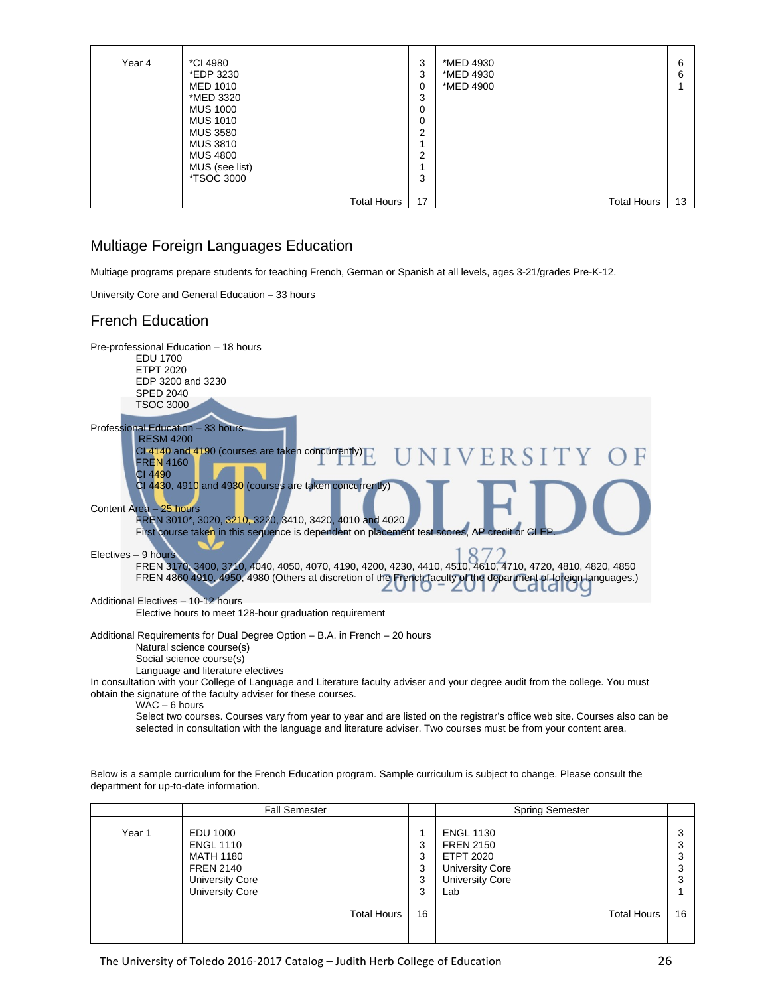| Year 4 | *CI 4980<br>*EDP 3230<br><b>MED 1010</b><br>*MED 3320<br><b>MUS 1000</b><br><b>MUS 1010</b><br><b>MUS 3580</b><br><b>MUS 3810</b><br><b>MUS 4800</b><br>MUS (see list)<br><i>*</i> TSOC 3000 | 3<br>3<br>0<br>3<br>0<br>0<br>ົ<br>∠<br>ົ<br>3 | *MED 4930<br>*MED 4930<br>*MED 4900 | 6<br>6 |
|--------|----------------------------------------------------------------------------------------------------------------------------------------------------------------------------------------------|------------------------------------------------|-------------------------------------|--------|
|        | <b>Total Hours</b>                                                                                                                                                                           | 17                                             | <b>Total Hours</b>                  | 13     |

### Multiage Foreign Languages Education

Multiage programs prepare students for teaching French, German or Spanish at all levels, ages 3-21/grades Pre-K-12.

University Core and General Education – 33 hours

## French Education



Select two courses. Courses vary from year to year and are listed on the registrar's office web site. Courses also can be selected in consultation with the language and literature adviser. Two courses must be from your content area.

Below is a sample curriculum for the French Education program. Sample curriculum is subject to change. Please consult the department for up-to-date information.

|        | <b>Fall Semester</b>                                                                                                     |                       | <b>Spring Semester</b>                                                                                       |    |
|--------|--------------------------------------------------------------------------------------------------------------------------|-----------------------|--------------------------------------------------------------------------------------------------------------|----|
| Year 1 | EDU 1000<br><b>ENGL 1110</b><br><b>MATH 1180</b><br><b>FREN 2140</b><br><b>University Core</b><br><b>University Core</b> | 3<br>3<br>3<br>3<br>3 | <b>ENGL 1130</b><br><b>FREN 2150</b><br>ETPT 2020<br><b>University Core</b><br><b>University Core</b><br>Lab |    |
|        | <b>Total Hours</b>                                                                                                       | 16                    | <b>Total Hours</b>                                                                                           | 16 |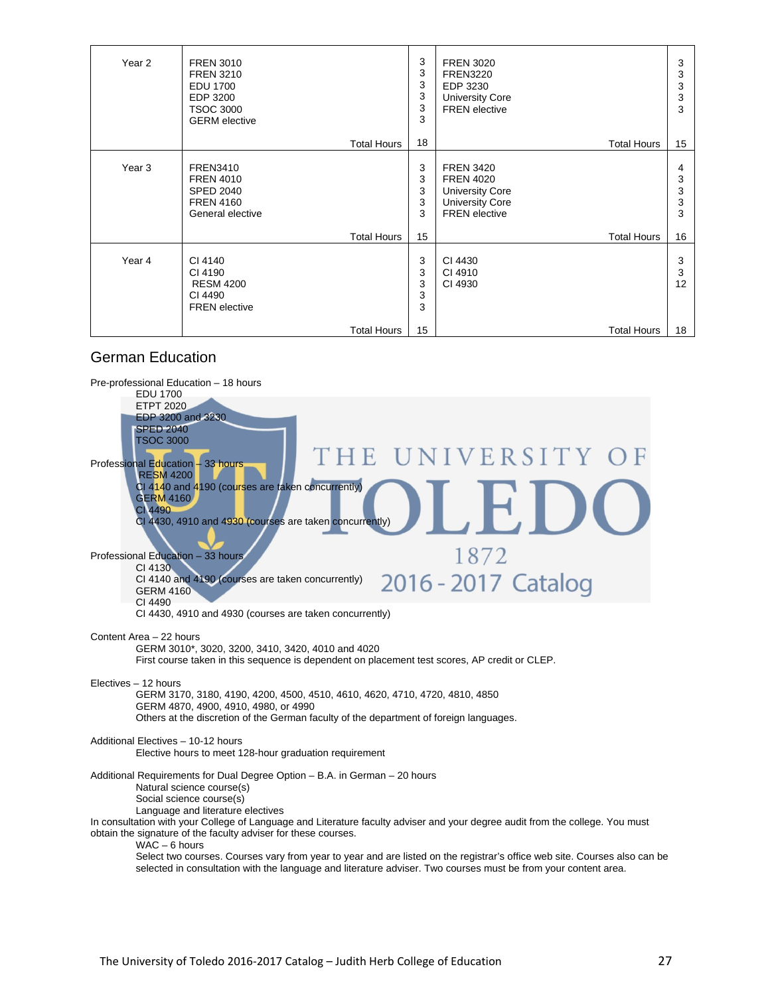| Year 2 | <b>FREN 3010</b><br><b>FREN 3210</b><br><b>EDU 1700</b><br>EDP 3200<br><b>TSOC 3000</b><br><b>GERM</b> elective | 3<br>3<br>3<br>3<br>3<br>3 | <b>FREN 3020</b><br><b>FREN3220</b><br>EDP 3230<br><b>University Core</b><br><b>FREN</b> elective                | 3<br>3<br>3<br>3<br>3 |
|--------|-----------------------------------------------------------------------------------------------------------------|----------------------------|------------------------------------------------------------------------------------------------------------------|-----------------------|
|        | <b>Total Hours</b>                                                                                              | 18                         | <b>Total Hours</b>                                                                                               | 15                    |
| Year 3 | <b>FREN3410</b><br><b>FREN 4010</b><br><b>SPED 2040</b><br><b>FREN 4160</b><br>General elective                 | 3<br>3<br>3<br>3<br>3      | <b>FREN 3420</b><br><b>FREN 4020</b><br><b>University Core</b><br><b>University Core</b><br><b>FREN</b> elective | 4<br>3<br>3<br>3<br>3 |
|        | <b>Total Hours</b>                                                                                              | 15                         | <b>Total Hours</b>                                                                                               | 16                    |
| Year 4 | CI 4140<br>CI 4190<br><b>RESM 4200</b><br>CI 4490<br><b>FREN</b> elective                                       | 3<br>3<br>3<br>3<br>3      | CI 4430<br>CI 4910<br>CI 4930                                                                                    | 3<br>3<br>12          |
|        | <b>Total Hours</b>                                                                                              | 15                         | <b>Total Hours</b>                                                                                               | 18                    |

### German Education

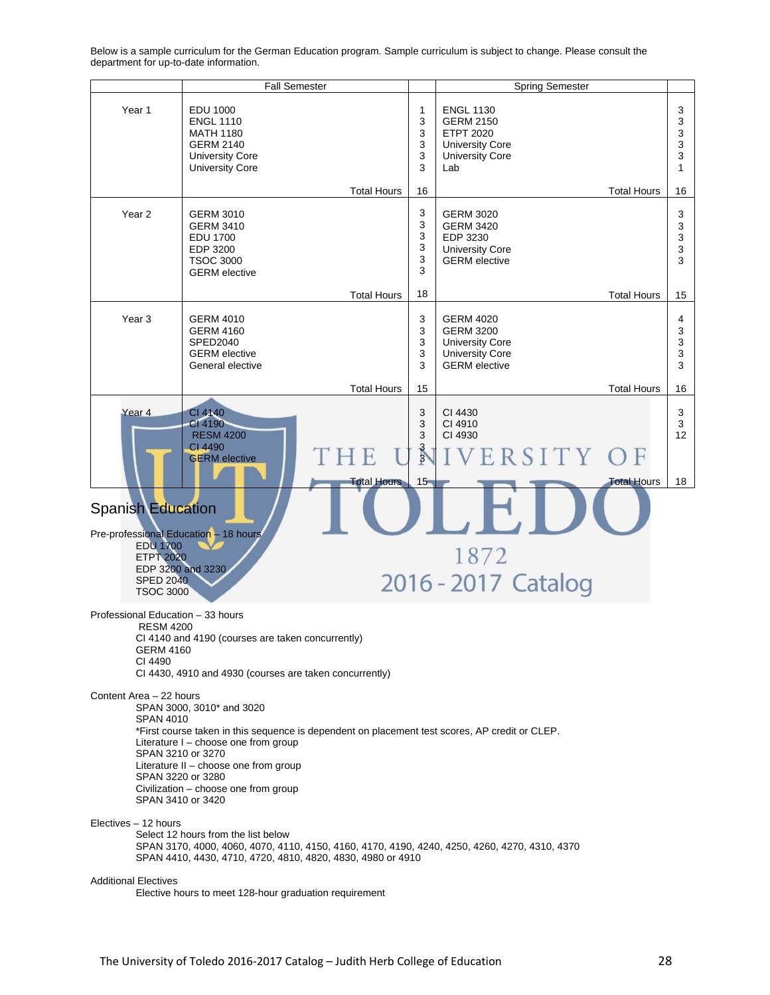Fall Semester **Spring Semester** Spring Semester Year 1 EDU 1000 ENGL 1130 3 1 ENGL 1110 3 GERM 2150 3 MATH 1180 3 ETPT 2020 3 GERM 2140 3 3 University Core University Core 3 University Core 3 3 University Core Lab 1 Total Hours 16 Total Hours 16 3 Year 2 | GERM 3010 GERM 3020 3 GERM 3410 3 GERM 3420 3 EDU 1700 3 EDP 3230 3 EDP 3200 3 University Core 3 3 TSOC 3000 GERM elective 3 GERM elective 3 Total Hours 18 Total Hours 15 Year 3 GERM 4010 GERM 4020 3 4 GERM 4160 GERM 3200 3 3 SPED2040 3 University Core 3 GERM elective 3 University Core 3 General elective 3 GERM elective 3 Total Hours 15 Total Hours 16 Year 4 CI 4140 3 CI 4430 3 CI 4190 3 CI 4910 3 RESM 4200 3 CI 4930 12 CI 4490 3 H E ERSITY F **GERM** elective 3 15 otal Hours 18 Total Hours **Spanish Education** Pre-professional Education – 18 hours EDU 1700 1872 ETPT 2020 EDP 3200 and 3230 2016 - 2017 Catalog SPED 2040 TSOC 3000 Professional Education – 33 hours RESM 4200 CI 4140 and 4190 (courses are taken concurrently) GERM 4160 CI 4490 CI 4430, 4910 and 4930 (courses are taken concurrently) Content Area – 22 hours SPAN 3000, 3010\* and 3020 SPAN 4010 \*First course taken in this sequence is dependent on placement test scores, AP credit or CLEP. Literature I – choose one from group SPAN 3210 or 3270 Literature II – choose one from group SPAN 3220 or 3280 Civilization – choose one from group SPAN 3410 or 3420 Electives – 12 hours Select 12 hours from the list below SPAN 3170, 4000, 4060, 4070, 4110, 4150, 4160, 4170, 4190, 4240, 4250, 4260, 4270, 4310, 4370 SPAN 4410, 4430, 4710, 4720, 4810, 4820, 4830, 4980 or 4910 Additional Electives Elective hours to meet 128-hour graduation requirement

Below is a sample curriculum for the German Education program. Sample curriculum is subject to change. Please consult the department for up-to-date information.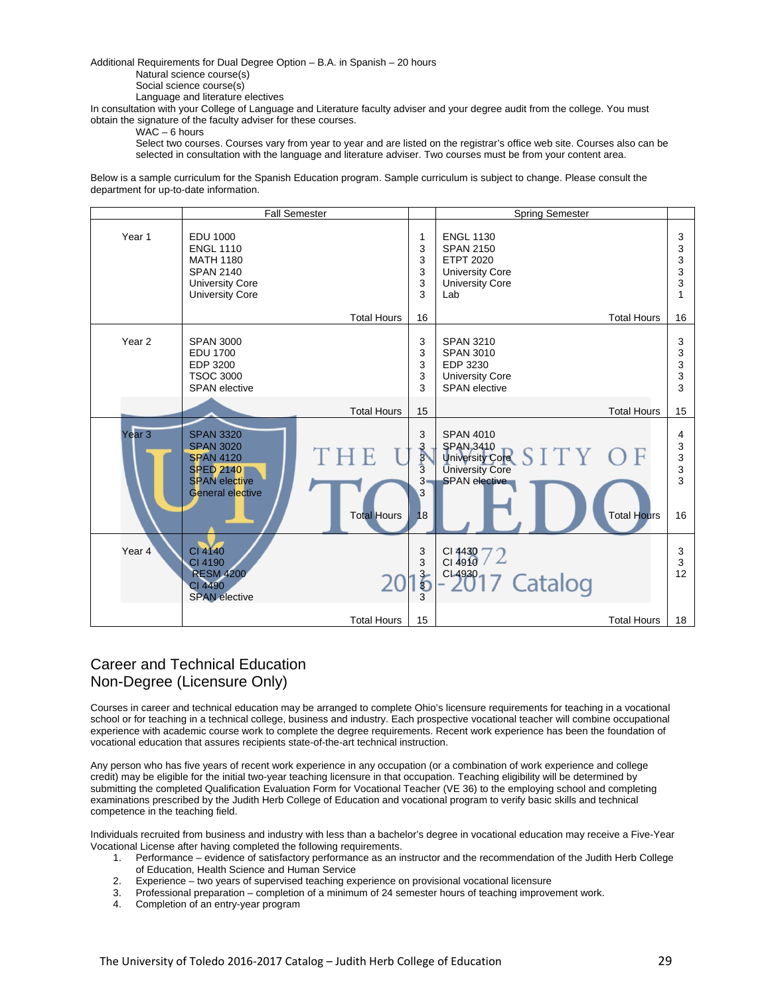Additional Requirements for Dual Degree Option – B.A. in Spanish – 20 hours

Natural science course(s)

Social science course(s)

Language and literature electives

In consultation with your College of Language and Literature faculty adviser and your degree audit from the college. You must obtain the signature of the faculty adviser for these courses.

#### WAC – 6 hours

Select two courses. Courses vary from year to year and are listed on the registrar's office web site. Courses also can be selected in consultation with the language and literature adviser. Two courses must be from your content area.

Below is a sample curriculum for the Spanish Education program. Sample curriculum is subject to change. Please consult the department for up-to-date information.

|                   | <b>Fall Semester</b>                                                                                                            |                           |                                       | <b>Spring Semester</b>                                                                                                                      |                             |
|-------------------|---------------------------------------------------------------------------------------------------------------------------------|---------------------------|---------------------------------------|---------------------------------------------------------------------------------------------------------------------------------------------|-----------------------------|
| Year 1            | <b>EDU 1000</b><br><b>ENGL 1110</b><br><b>MATH 1180</b><br><b>SPAN 2140</b><br><b>University Core</b><br><b>University Core</b> |                           | 1<br>3<br>3<br>3<br>3<br>3            | <b>ENGL 1130</b><br><b>SPAN 2150</b><br><b>ETPT 2020</b><br><b>University Core</b><br><b>University Core</b><br>Lab                         | 3<br>3<br>3<br>3<br>3<br>1  |
|                   |                                                                                                                                 | <b>Total Hours</b>        | 16                                    | <b>Total Hours</b>                                                                                                                          | 16                          |
| Year <sub>2</sub> | <b>SPAN 3000</b><br><b>EDU 1700</b><br>EDP 3200<br><b>TSOC 3000</b><br><b>SPAN</b> elective                                     |                           | 3<br>3<br>3<br>3<br>3                 | <b>SPAN 3210</b><br><b>SPAN 3010</b><br>EDP 3230<br><b>University Core</b><br><b>SPAN</b> elective                                          | 3<br>3<br>3<br>3<br>3       |
|                   |                                                                                                                                 | <b>Total Hours</b>        | 15                                    | <b>Total Hours</b>                                                                                                                          | 15                          |
| Year 3            | <b>SPAN 3320</b><br><b>SPAN 3020</b><br><b>SPAN 4120</b><br><b>SPED 2140</b><br><b>SPAN</b> elective<br>General elective        | THE<br><b>Total Hours</b> | 3<br><b>CARDIC</b><br>$3-$<br>3<br>18 | <b>SPAN 4010</b><br><b>SPAN, 3410</b><br>SITY OF<br>University Core<br><b>University Core</b><br><b>SPAN</b> elective<br><b>Total Hours</b> | 4<br>3<br>3<br>3<br>3<br>16 |
| Year 4            | CI 4140<br>CI 4190<br><b>RESM 4200</b><br>CI 4490<br><b>SPAN</b> elective                                                       |                           | 3<br>3<br>i<br>b                      | $C14430$ $72$<br>$-2017$ Catalog                                                                                                            | 3<br>3<br>12 <sup>2</sup>   |
|                   |                                                                                                                                 | <b>Total Hours</b>        | 15                                    | <b>Total Hours</b>                                                                                                                          | 18                          |

### Career and Technical Education Non-Degree (Licensure Only)

Courses in career and technical education may be arranged to complete Ohio's licensure requirements for teaching in a vocational school or for teaching in a technical college, business and industry. Each prospective vocational teacher will combine occupational experience with academic course work to complete the degree requirements. Recent work experience has been the foundation of vocational education that assures recipients state-of-the-art technical instruction.

Any person who has five years of recent work experience in any occupation (or a combination of work experience and college credit) may be eligible for the initial two-year teaching licensure in that occupation. Teaching eligibility will be determined by submitting the completed Qualification Evaluation Form for Vocational Teacher (VE 36) to the employing school and completing examinations prescribed by the Judith Herb College of Education and vocational program to verify basic skills and technical competence in the teaching field.

Individuals recruited from business and industry with less than a bachelor's degree in vocational education may receive a Five-Year Vocational License after having completed the following requirements.

- 1. Performance evidence of satisfactory performance as an instructor and the recommendation of the Judith Herb College of Education, Health Science and Human Service
- 2. Experience two years of supervised teaching experience on provisional vocational licensure
- 3. Professional preparation completion of a minimum of 24 semester hours of teaching improvement work.
- 4. Completion of an entry-year program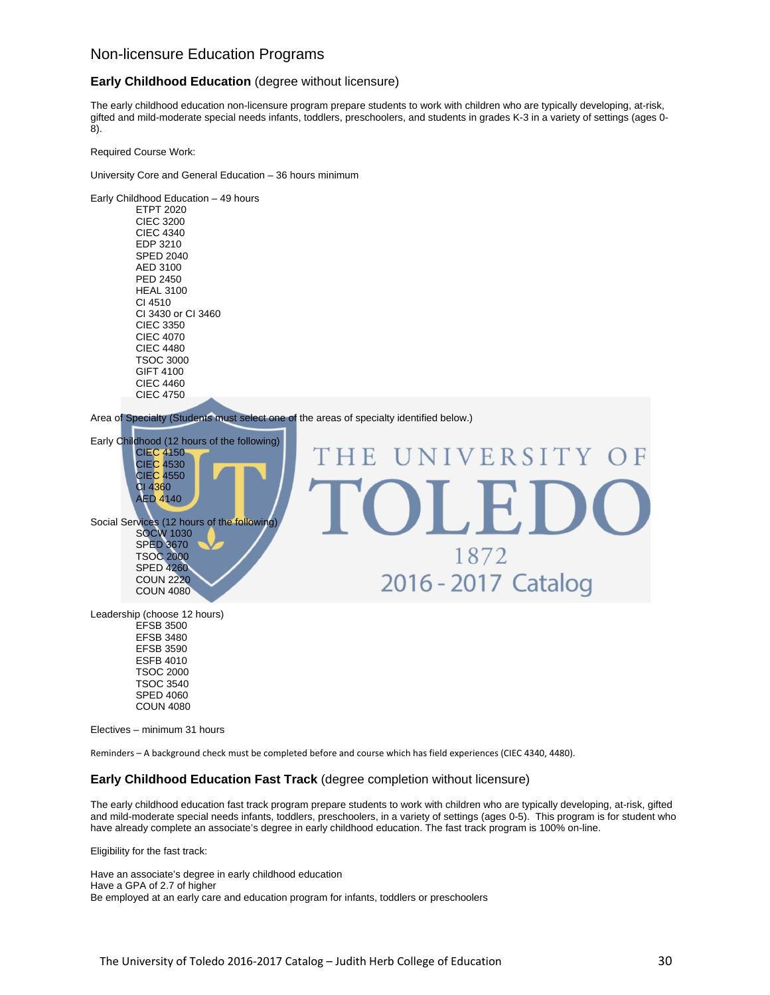#### Non-licensure Education Programs

#### **Early Childhood Education** (degree without licensure)

The early childhood education non-licensure program prepare students to work with children who are typically developing, at-risk, gifted and mild-moderate special needs infants, toddlers, preschoolers, and students in grades K-3 in a variety of settings (ages 0- 8).

Required Course Work:

University Core and General Education – 36 hours minimum

Early Childhood Education – 49 hours ETPT 2020 CIEC 3200 CIEC 4340 EDP 3210 SPED 2040 AED 3100 PED 2450 HEAL 3100 CI 4510 CI 3430 or CI 3460 CIEC 3350 CIEC 4070 CIEC 4480 TSOC 3000 GIFT 4100 CIEC 4460 CIEC 4750

Area of Specialty (Students must select one of the areas of specialty identified below.)



COUN 4080 Electives – minimum 31 hours

SPED 4060

Reminders – A background check must be completed before and course which has field experiences (CIEC 4340, 4480).

#### **Early Childhood Education Fast Track** (degree completion without licensure)

The early childhood education fast track program prepare students to work with children who are typically developing, at-risk, gifted and mild-moderate special needs infants, toddlers, preschoolers, in a variety of settings (ages 0-5). This program is for student who have already complete an associate's degree in early childhood education. The fast track program is 100% on-line.

Eligibility for the fast track:

Have an associate's degree in early childhood education Have a GPA of 2.7 of higher Be employed at an early care and education program for infants, toddlers or preschoolers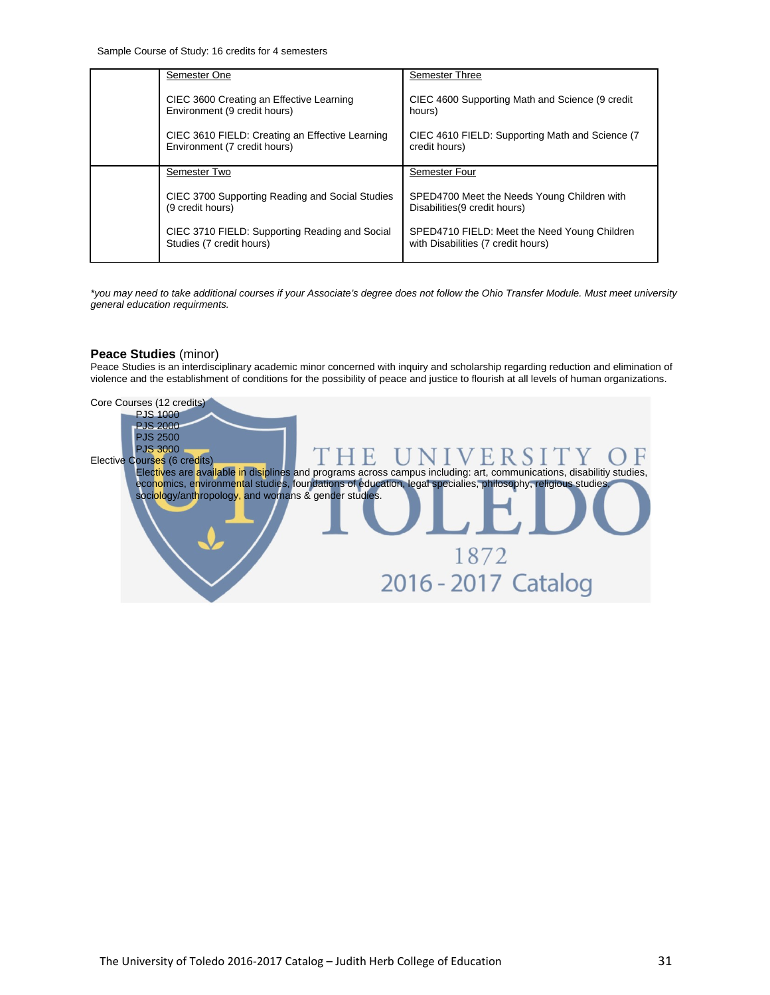Sample Course of Study: 16 credits for 4 semesters

| Semester One                                                                    | Semester Three                                                                     |
|---------------------------------------------------------------------------------|------------------------------------------------------------------------------------|
| CIEC 3600 Creating an Effective Learning<br>Environment (9 credit hours)        | CIEC 4600 Supporting Math and Science (9 credit<br>hours)                          |
| CIEC 3610 FIELD: Creating an Effective Learning<br>Environment (7 credit hours) | CIEC 4610 FIELD: Supporting Math and Science (7)<br>credit hours)                  |
| Semester Two                                                                    | Semester Four                                                                      |
| CIEC 3700 Supporting Reading and Social Studies<br>(9 credit hours)             | SPED4700 Meet the Needs Young Children with<br>Disabilities (9 credit hours)       |
| CIEC 3710 FIELD: Supporting Reading and Social<br>Studies (7 credit hours)      | SPED4710 FIELD: Meet the Need Young Children<br>with Disabilities (7 credit hours) |

*\*you may need to take additional courses if your Associate's degree does not follow the Ohio Transfer Module. Must meet university general education requirments.* 

#### **Peace Studies** (minor)

Peace Studies is an interdisciplinary academic minor concerned with inquiry and scholarship regarding reduction and elimination of violence and the establishment of conditions for the possibility of peace and justice to flourish at all levels of human organizations.

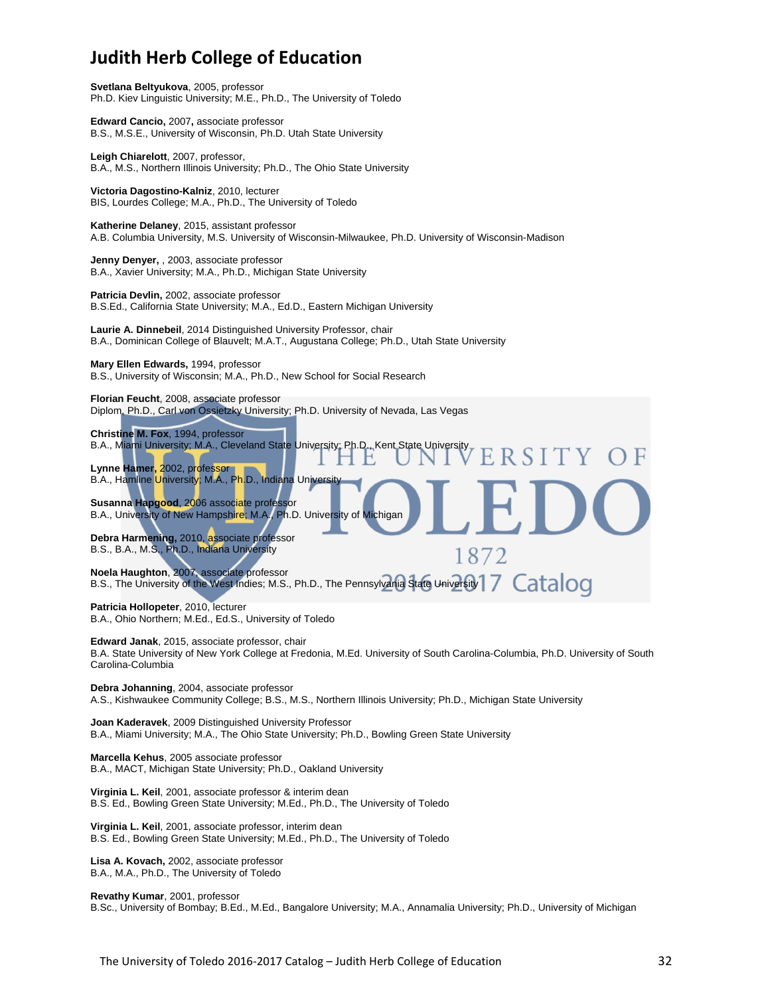## **Judith Herb College of Education**

**Svetlana Beltyukova**, 2005, professor Ph.D. Kiev Linguistic University; M.E., Ph.D., The University of Toledo

**Edward Cancio,** 2007**,** associate professor B.S., M.S.E., University of Wisconsin, Ph.D. Utah State University

**Leigh Chiarelott**, 2007, professor, B.A., M.S., Northern Illinois University; Ph.D., The Ohio State University

**Victoria Dagostino-Kalniz**, 2010, lecturer BIS, Lourdes College; M.A., Ph.D., The University of Toledo

**Katherine Delaney**, 2015, assistant professor A.B. Columbia University, M.S. University of Wisconsin-Milwaukee, Ph.D. University of Wisconsin-Madison

**Jenny Denyer,** , 2003, associate professor B.A., Xavier University; M.A., Ph.D., Michigan State University

**Patricia Devlin,** 2002, associate professor B.S.Ed., California State University; M.A., Ed.D., Eastern Michigan University

**Laurie A. Dinnebeil**, 2014 Distinguished University Professor, chair B.A., Dominican College of Blauvelt; M.A.T., Augustana College; Ph.D., Utah State University

**Mary Ellen Edwards,** 1994, professor

B.S., University of Wisconsin; M.A., Ph.D., New School for Social Research

**Florian Feucht**, 2008, associate professor Diplom, Ph.D., Carl von Ossietzky University; Ph.D. University of Nevada, Las Vegas

**Christine M. Fox**, 1994, professor B.A., Miami University; M.A., Cleveland State University; Ph.D., Kent State University

**Lynne Hamer,** 2002, professor B.A., Hamline University; M.A., Ph.D., Indiana University

**Susanna Hapgood**, 2006 associate professor B.A., University of New Hampshire; M.A., Ph.D. University of Michigan

**Debra Harmening,** 2010, associate professor B.S., B.A., M.S., Ph.D., Indiana University

**Noela Haughton**, 2007, associate professor

Noela Haughton, 2007, associate professor<br>B.S., The University of the West Indies; M.S., Ph.D., The Pennsylvania State University | 7 Catalog

**Patricia Hollopeter**, 2010, lecturer B.A., Ohio Northern; M.Ed., Ed.S., University of Toledo

**Edward Janak**, 2015, associate professor, chair B.A. State University of New York College at Fredonia, M.Ed. University of South Carolina-Columbia, Ph.D. University of South Carolina-Columbia

**RSITY** 

1872

**Debra Johanning**, 2004, associate professor A.S., Kishwaukee Community College; B.S., M.S., Northern Illinois University; Ph.D., Michigan State University

**Joan Kaderavek**, 2009 Distinguished University Professor B.A., Miami University; M.A., The Ohio State University; Ph.D., Bowling Green State University

**Marcella Kehus**, 2005 associate professor B.A., MACT, Michigan State University; Ph.D., Oakland University

**Virginia L. Keil**, 2001, associate professor & interim dean B.S. Ed., Bowling Green State University; M.Ed., Ph.D., The University of Toledo

**Virginia L. Keil**, 2001, associate professor, interim dean B.S. Ed., Bowling Green State University; M.Ed., Ph.D., The University of Toledo

**Lisa A. Kovach,** 2002, associate professor B.A., M.A., Ph.D., The University of Toledo

**Revathy Kumar**, 2001, professor B.Sc., University of Bombay; B.Ed., M.Ed., Bangalore University; M.A., Annamalia University; Ph.D., University of Michigan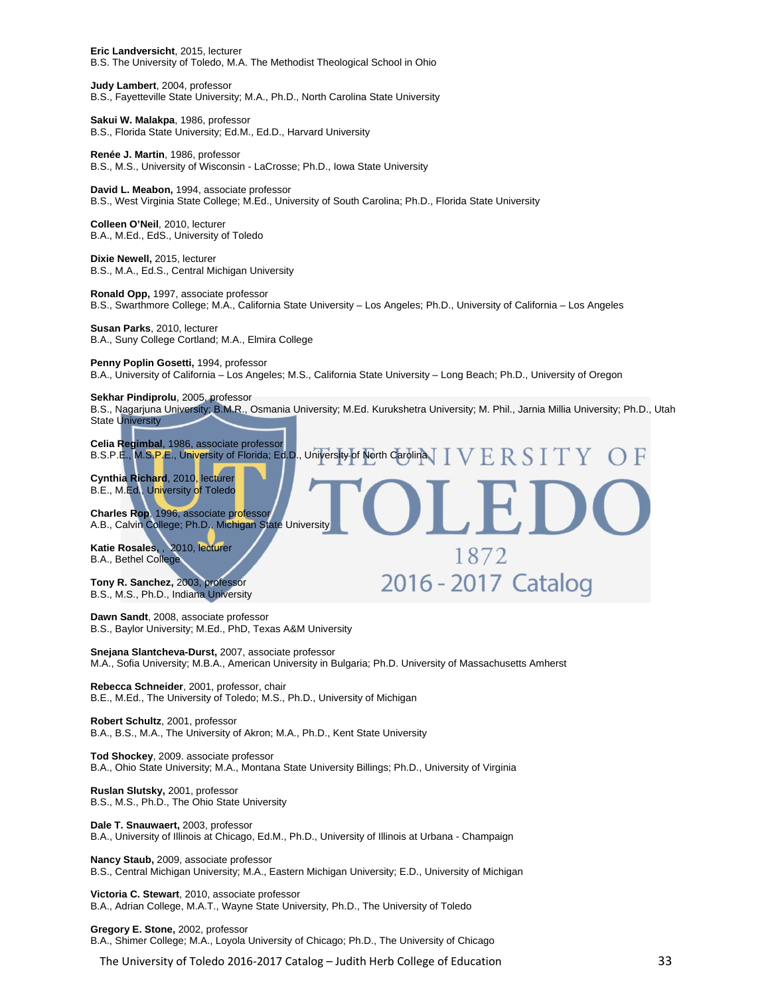**Eric Landversicht**, 2015, lecturer B.S. The University of Toledo, M.A. The Methodist Theological School in Ohio

**Judy Lambert**, 2004, professor B.S., Fayetteville State University; M.A., Ph.D., North Carolina State University

**Sakui W. Malakpa**, 1986, professor B.S., Florida State University; Ed.M., Ed.D., Harvard University

**Renée J. Martin**, 1986, professor B.S., M.S., University of Wisconsin - LaCrosse; Ph.D., Iowa State University

**David L. Meabon,** 1994, associate professor B.S., West Virginia State College; M.Ed., University of South Carolina; Ph.D., Florida State University

**Colleen O'Neil**, 2010, lecturer B.A., M.Ed., EdS., University of Toledo

**Dixie Newell,** 2015, lecturer B.S., M.A., Ed.S., Central Michigan University

**Ronald Opp,** 1997, associate professor B.S., Swarthmore College; M.A., California State University – Los Angeles; Ph.D., University of California – Los Angeles

**Susan Parks**, 2010, lecturer B.A., Suny College Cortland; M.A., Elmira College

#### **Penny Poplin Gosetti,** 1994, professor

B.A., University of California – Los Angeles; M.S., California State University – Long Beach; Ph.D., University of Oregon

#### **Sekhar Pindiprolu**, 2005, professor

B.S., Nagarjuna University; B.M.R., Osmania University; M.Ed. Kurukshetra University; M. Phil., Jarnia Millia University; Ph.D., Utah State University

1872

2016 - 2017 Catalog

**Celia Regimbal**, 1986, associate professor B.S.P.E., M.S.P.E., University of Florida; Ed.D., University of North Carolina  $\top \, \mathrm{V} \, \mathrm{R} \, \mathrm{S} \, \mathrm{I} \, \mathrm{T} \, \mathrm{V}$ 

**Cynthia Richard**, 2010, lecturer B.E., M.Ed., University of Toledo

**Charles Rop**, 1996, associate professor A.B., Calvin College; Ph.D., Michigan State University

**Katie Rosales,** , 2010, lecturer B.A., Bethel College

**Tony R. Sanchez,** 2003, professor B.S., M.S., Ph.D., Indiana University

**Dawn Sandt**, 2008, associate professor B.S., Baylor University; M.Ed., PhD, Texas A&M University

**Snejana Slantcheva-Durst,** 2007, associate professor M.A., Sofia University; M.B.A., American University in Bulgaria; Ph.D. University of Massachusetts Amherst

**Rebecca Schneider**, 2001, professor, chair B.E., M.Ed., The University of Toledo; M.S., Ph.D., University of Michigan

**Robert Schultz**, 2001, professor B.A., B.S., M.A., The University of Akron; M.A., Ph.D., Kent State University

**Tod Shockey**, 2009. associate professor B.A., Ohio State University; M.A., Montana State University Billings; Ph.D., University of Virginia

**Ruslan Slutsky,** 2001, professor B.S., M.S., Ph.D., The Ohio State University

**Dale T. Snauwaert,** 2003, professor B.A., University of Illinois at Chicago, Ed.M., Ph.D., University of Illinois at Urbana - Champaign

**Nancy Staub,** 2009, associate professor B.S., Central Michigan University; M.A., Eastern Michigan University; E.D., University of Michigan

**Victoria C. Stewart**, 2010, associate professor B.A., Adrian College, M.A.T., Wayne State University, Ph.D., The University of Toledo

#### **Gregory E. Stone,** 2002, professor

B.A., Shimer College; M.A., Loyola University of Chicago; Ph.D., The University of Chicago